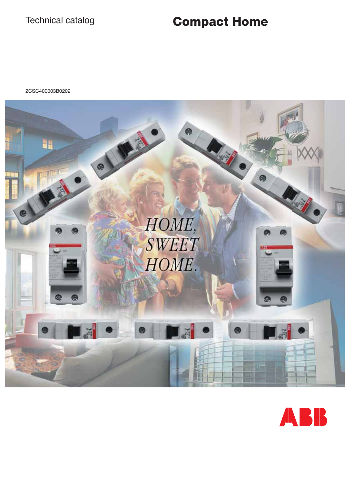# Technical catalog **Compact Home**

2CSC400003B0202



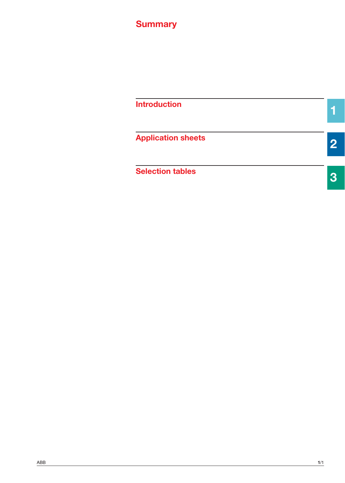# **Summary**

| <b>Introduction</b>       |  |
|---------------------------|--|
| <b>Application sheets</b> |  |
| <b>Selection tables</b>   |  |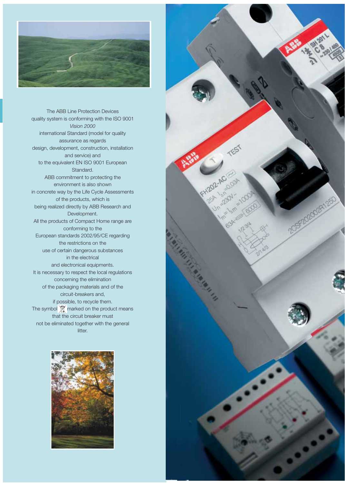

**1** The ABB Line Protection Devices quality system is conforming with the ISO 9001 *Vision 2000* international Standard (model for quality assurance as regards design, development, construction, installation and service) and to the equivalent EN ISO 9001 European Standard. ABB commitment to protecting the environment is also shown in concrete way by the Life Cycle Assessments of the products, which is being realized directly by ABB Research and Development. All the products of Compact Home range are conforming to the European standards 2002/95/CE regarding the restrictions on the use of certain dangerous substances in the electrical and electronical equipments. It is necessary to respect the local regulations concerning the elimination of the packaging materials and of the circuit-breakers and, if possible, to recycle them. The symbol marked on the product means that the circuit breaker must not be eliminated together with the general litter.



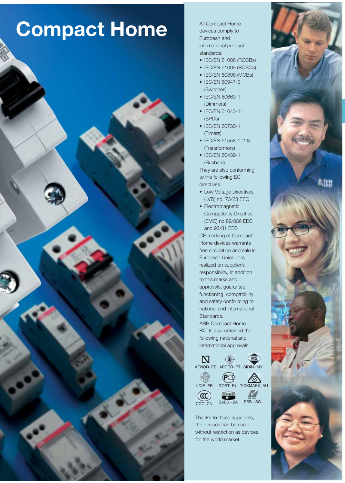# **Compact Home**



All Compact Home devices comply to European and international product standards:

- IEC/EN 61008 (RCCBs)
- IEC/EN 61009 (RCBOs)
- IEC/EN 60898 (MCBs)
- IEC/EN 60947-3 (Switches)
- IEC/EN 60669-1 (Dimmers)
- IEC/EN 61643-11 (SPDs)
- IEC/EN 60730-1 (Timers)
- IEC/EN 61558-1-2-8 (Transformers)
- IEC/EN 60439-1 (Busbars)

They are also conforming to the following EC directives:

- Low Voltage Directives (LVD) no. 73/23 EEC
- Electromagnetic Compatibility Directive (EMC) no.89/336 EEC and 92/31 EEC

CE marking of Compact Home devices warrants free circulation and sale in European Union. It is realized on supplier's responsibility, in addition to this marks and approvals, guarantee functioning, compatibility and safety conforming to national and international Standards.

ABB Compact Home RCDs also obtained the following national and international approvals:





Thanks to these approvals, the devices can be used without restriction as devices for the world market.

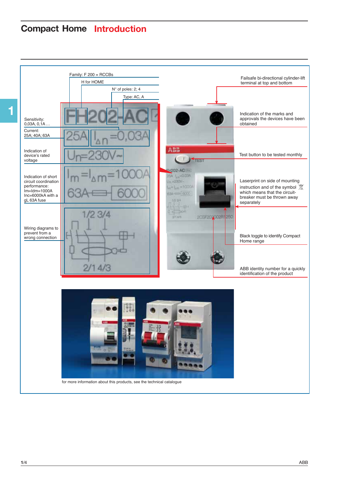# **Compact Home Introduction**

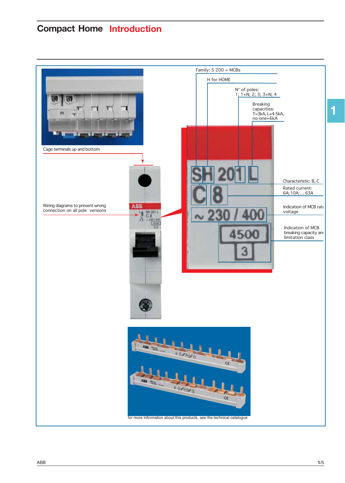# **Compact Home Introduction**



**1**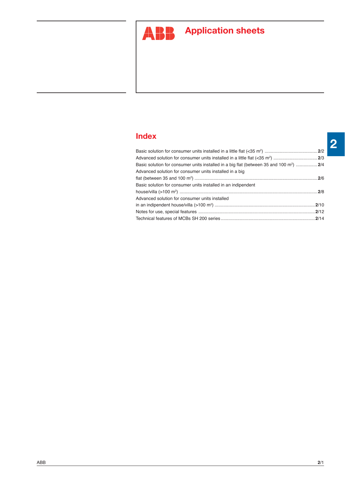

# **ABP** Application sheets

## **Index**

| Basic solution for consumer units installed in a big flat (between 35 and 100 m <sup>2</sup> )  2/4 |  |
|-----------------------------------------------------------------------------------------------------|--|
| Advanced solution for consumer units installed in a big                                             |  |
|                                                                                                     |  |
| Basic solution for consumer units installed in an indipendent                                       |  |
|                                                                                                     |  |
| Advanced solution for consumer units installed                                                      |  |
|                                                                                                     |  |
|                                                                                                     |  |
|                                                                                                     |  |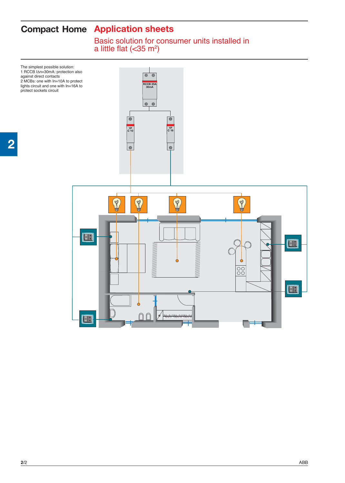Basic solution for consumer units installed in a little flat  $(<$ 35 m<sup>2</sup>)

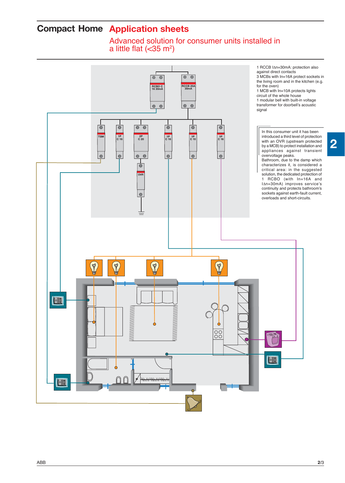Advanced solution for consumer units installed in a little flat  $(<$ 35 m<sup>2</sup>)

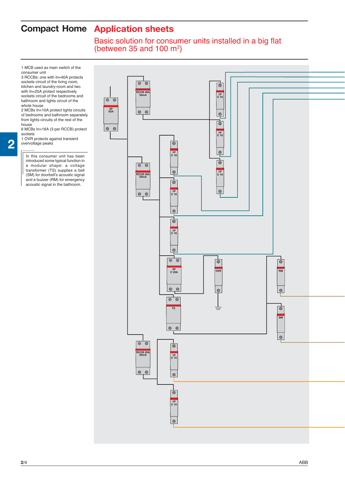Basic solution for consumer units installed in a big flat (between 35 and 100  $\mathrm{m}^2$ )

1 MCB used as main switch of the consumer unit

3 RCCBs: one with In=40A protects sockets circuit of the living room, kitchen and laundry-room and two with In=25A protect respectively sockets circuit of the bedrooms and bathroom and lights circuit of the whole house

2 MCBs In=10A protect lights circuits of bedrooms and bathroom separately from lights circuits of the rest of the house

6 MCBs In=16A (3 per RCCB) protect sockets 1 OVR protects against transient

overvoltage peaks

**2**

In this consumer unit has been introduced some typical function in a modular shape: a voltage transformer (TS) supplies a bell (SM) for doorbell's acoustic signal and a buzzer (RM) for emergency acoustic signal in the bathroom.

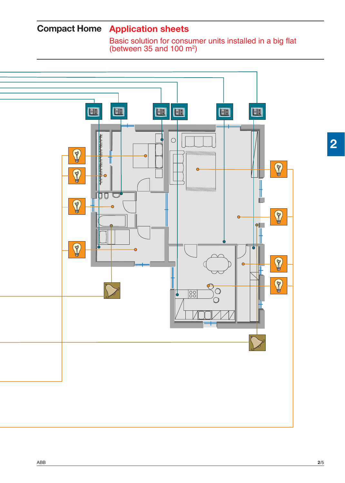Basic solution for consumer units installed in a big flat (between 35 and 100  $\mathrm{m}^2$ )

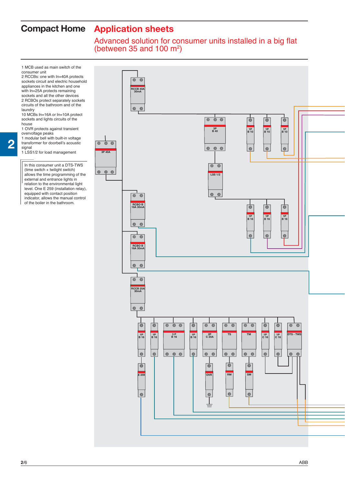### Advanced solution for consumer units installed in a big flat (between 35 and 100  $\mathrm{m}^2$ )

1 MCB used as main switch of the consumer unit

2 RCCBs: one with In=40A protects sockets circuit and electric household appliances in the kitchen and one with In=25A protects remaining sockets and all the other devices 2 RCBOs protect separately sockets circuits of the bathroom and of the laundry

10 MCBs In=16A or In=10A protect sockets and lights circuits of the house

1 OVR protects against transient overvoltage peaks

1 modular bell with built-in voltage transformer for doorbell's acoustic

signal 1 LSS1/2 for load management

**2**

In this consumer unit a DTS-TWS (time switch + twilight switch) allows the time programming of the external and entrance lights in relation to the environmental light level. One E 259 (installation relay), equipped with contact position indicator, allows the manual control of the boiler in the bathroom.

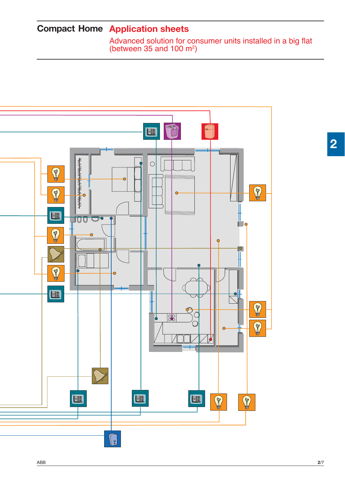Advanced solution for consumer units installed in a big flat (between 35 and 100  $\mathrm{m}^2$ )

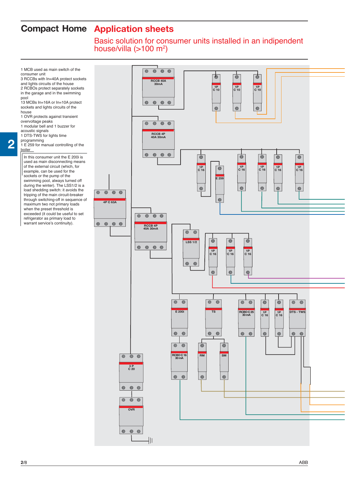Basic solution for consumer units installed in an indipendent house/villa  $(>100 \text{ m}^2)$ 

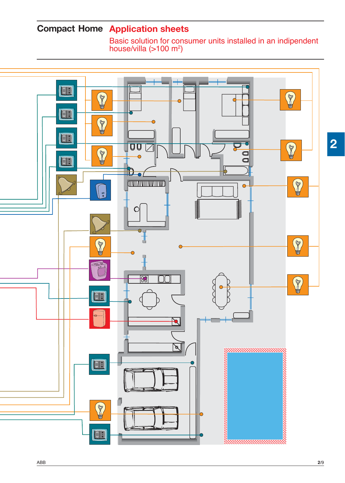Basic solution for consumer units installed in an indipendent house/villa  $($ >100 m<sup>2</sup>)

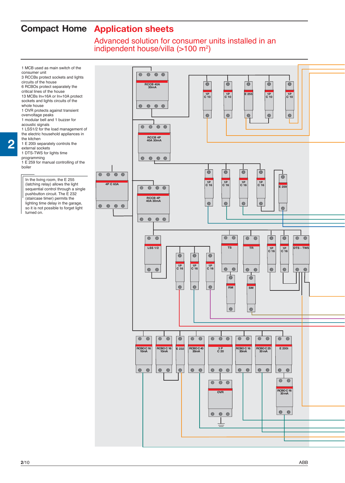Advanced solution for consumer units installed in an indipendent house/villa  $($ >100 m<sup>2</sup>)

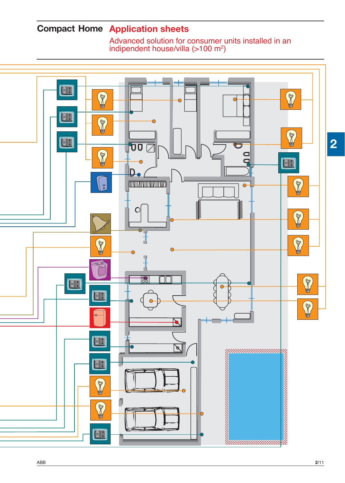Advanced solution for consumer units installed in an indipendent house/villa  $($ >100 m<sup>2</sup> $)$ 

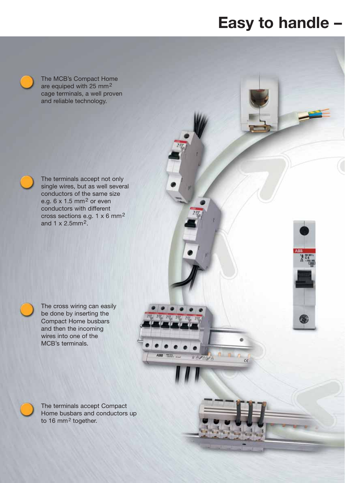# **Easy to handle –**

The MCB's Compact Home are equiped with 25 mm2 cage terminals, a well proven and reliable technology.

The terminals accept not only single wires, but as well several conductors of the same size e.g.  $6 \times 1.5$  mm<sup>2</sup> or even conductors with different cross sections e.g. 1 x 6 mm2 and 1 x 2.5mm2.

The cross wiring can easily be done by inserting the Compact Home busbars and then the incoming wires into one of the MCB's terminals.

The terminals accept Compact Home busbars and conductors up to 16 mm<sup>2</sup> together.



**RAZEYA**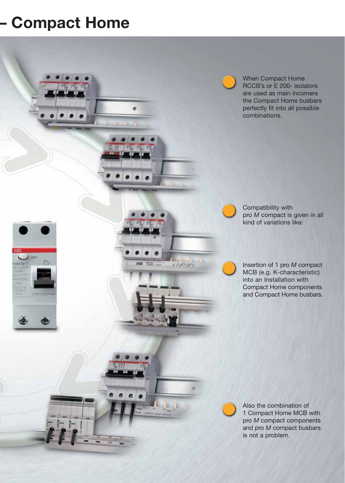# **– Compact Home**

**TEST** 

×

When Compact Home RCCB's or E 200- isolators are used as main incomers the Compact Home busbars perfectly fit into all possible combinations.

Compatibility with pro *M* compact is given in all kind of variations like:

Insertion of 1 pro *M* compact MCB (e.g. K-characteristic) into an Installation with Compact Home components and Compact Home busbars.

Also the combination of 1 Compact Home MCB with pro *M* compact components and pro *M* compact busbars is not a problem.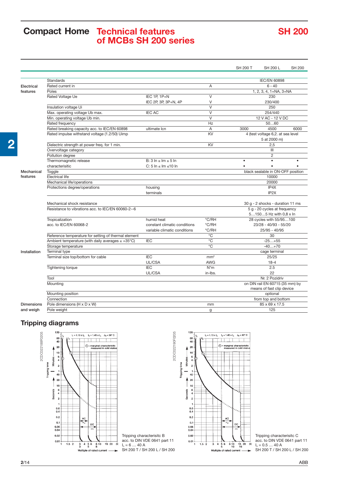## **Compact Home Technical features of MCBs SH 200 series**

# **SH 200**

|                   |                                                        |                                |                         | <b>SH 200 T</b> | <b>SH 200 L</b>                                              | <b>SH 200</b> |
|-------------------|--------------------------------------------------------|--------------------------------|-------------------------|-----------------|--------------------------------------------------------------|---------------|
|                   |                                                        |                                |                         |                 |                                                              |               |
|                   | Standards                                              |                                |                         |                 | <b>IEC/EN 60898</b>                                          |               |
| Electrical        | Rated current in                                       |                                | A                       |                 | $6 - 40$                                                     |               |
| features          | Poles                                                  |                                |                         |                 | 1, 2, 3, 4, 1+NA, 3+NA                                       |               |
|                   | Rated Voltage Ue                                       | IEC 1P, 1P+N                   | V                       |                 | 230                                                          |               |
|                   |                                                        | IEC 2P, 3P, 3P+N, 4P           | V                       |                 | 230/400                                                      |               |
|                   | Insulation voltage Ui                                  |                                | $\overline{\mathsf{v}}$ |                 | 250                                                          |               |
|                   | Max. operating voltage Ub max.                         | <b>IEC AC</b>                  | $\vee$                  |                 | 254/440                                                      |               |
|                   | Min. operating voltage Ub min.                         |                                | $\overline{\mathsf{V}}$ |                 | 12 V AC - 12 V DC                                            |               |
|                   | Rated frequency                                        |                                | Hz                      |                 | 5060                                                         |               |
|                   | Rated breaking capacity acc. to IEC/EN 60898           | ultimate Icn                   | A                       | 3000            | 4500                                                         | 6000          |
|                   | Rated impulse withstand voltage (1.2/50) Uimp          |                                | $\overline{KV}$         |                 | 4 (test voltage 6,2. at sea level                            |               |
|                   |                                                        |                                |                         |                 | 5 at 2000 m)                                                 |               |
|                   | Dielectric strength at power freq. for 1 min.          |                                | KV                      |                 | 2,5                                                          |               |
|                   | Overvoltage category                                   |                                |                         |                 | III                                                          |               |
|                   | Pollution degree                                       |                                |                         |                 | 2                                                            |               |
|                   | Thermomagnetic release                                 | B: $3 \ln \leq \ln \leq 5 \ln$ |                         | $\bullet$       | $\bullet$                                                    |               |
|                   | characterisitic                                        | C: 5 ln $\leq$ lm $\leq$ 10 ln |                         |                 |                                                              |               |
| Mechanical        | Toggle                                                 |                                |                         |                 | black sealable in ON-OFF position                            |               |
| features          | <b>Electrical life</b>                                 |                                |                         |                 | 10000                                                        |               |
|                   | Mechanical life/operations                             |                                |                         |                 | 20000                                                        |               |
|                   | Protections degree/operations                          | housing                        |                         |                 | IP4X                                                         |               |
|                   |                                                        | terminals                      |                         |                 | IP <sub>2</sub> X                                            |               |
|                   | Mechanical shock resistance                            |                                |                         |                 | 30 g - 2 shocks - duration 11 ms                             |               |
|                   | Resistance to vibrations acc. to IEC/EN 60060-2--6     |                                |                         |                 | 5 g - 20 cycles at frequency                                 |               |
|                   |                                                        |                                |                         |                 | 51505 Hz with 0,8 x ln                                       |               |
|                   | Tropicalization                                        | humid heat                     | °C/RH                   |                 | 28 cycles with 55/95100                                      |               |
|                   | acc. to IEC/EN 60068-2                                 | constant climatic conditions   | °C/RH                   |                 | 23/28 - 40/93 - 55/20                                        |               |
|                   |                                                        | variable climatic conditions   | °C/RH                   |                 | 25/95 - 40/95                                                |               |
|                   | Reference temperature for setting of thermal element   |                                | $^{\circ}$ C            |                 | 30                                                           |               |
|                   | Ambient temperature (with daily averages $\leq$ +35°C) | <b>IEC</b>                     | $\overline{C}$          |                 | $-25+55$                                                     |               |
|                   | Storage temperature                                    |                                | $\overline{C}$          |                 | $-40+70$                                                     |               |
| Installation      | <b>Terminal type</b>                                   |                                |                         |                 | cage terminal                                                |               |
|                   | Terminal size top/bottom for cable                     | <b>IEC</b>                     | mm <sup>2</sup>         |                 | 25/25                                                        |               |
|                   |                                                        | UL/CSA                         | <b>AWG</b>              |                 | $18 - 4$                                                     |               |
|                   | <b>Tightening torque</b>                               | <b>IEC</b>                     | $N^*m$                  |                 | 2.5                                                          |               |
|                   |                                                        | UL/CSA                         | in-Ibs.                 |                 | 22                                                           |               |
|                   | Tool                                                   |                                |                         |                 | Nr. 2 Pozidriv                                               |               |
|                   | Mounting                                               |                                |                         |                 | on DIN rail EN 60715 (35 mm) by<br>means of fast clip device |               |
|                   | Mounting position                                      |                                |                         |                 | optional                                                     |               |
|                   | Connection                                             |                                |                         |                 | from top and bottom                                          |               |
| <b>Dimensions</b> | Pole dimensions (H x D x W)                            |                                | mm                      |                 | 85 x 69 x 17.5                                               |               |
| and weigh         | Pole weight                                            |                                | g                       |                 | 125                                                          |               |
|                   |                                                        |                                |                         |                 |                                                              |               |

2CDC022190F0205

## **Tripping diagrams**





Tripping characterisitc C acc. to DIN VDE 0641 part 11  $I_n = 0.5 ... 40 A$ SH 200 T / SH 200 L / SH 200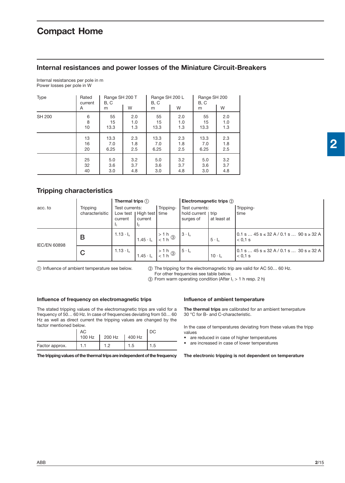#### **Internal resistances and power losses of the Miniature Circuit-Breakers**

Internal resistances per pole in m Power losses per pole in W

| Type          | Rated<br>current<br>A | Range SH 200 T<br>B, C<br>m | W   | Range SH 200 L<br>B, C<br>m | W   | Range SH 200<br>B, C<br>m | W   |  |  |
|---------------|-----------------------|-----------------------------|-----|-----------------------------|-----|---------------------------|-----|--|--|
| <b>SH 200</b> | 6                     | 55                          | 2.0 | 55                          | 2.0 |                           | 2.0 |  |  |
|               | 8                     | 15                          | 1.0 | 15                          | 1.0 |                           | 1.0 |  |  |
|               | 10                    | 13.3                        | 1.3 | 13.3                        | 1.3 |                           | 1.3 |  |  |
|               | 13                    | 13.3                        | 2.3 | 13.3                        | 2.3 | 13.3                      | 2.3 |  |  |
|               | 16                    | 7.0                         | 1.8 | 7.0                         | 1.8 | 7.0                       | 1.8 |  |  |
|               | 20                    | 6.25                        | 2.5 | 6.25                        | 2.5 | 6.25                      | 2.5 |  |  |
|               | 25                    | 5.0                         | 3.2 | 5.0                         | 3.2 | 5.0                       | 3.2 |  |  |
|               | 32                    | 3.6                         | 3.7 | 3.6                         | 3.7 | 3.6                       | 3.7 |  |  |
|               | 40                    | 3.0                         | 4.8 | 3.0                         | 4.8 | 3.0                       | 4.8 |  |  |

### **Tripping characteristics**

|                     |                             | Thermal trips $(1)$       |                                   |                                   | Electromagnetic trips $(2)$                        |                |                                                                  |  |  |  |
|---------------------|-----------------------------|---------------------------|-----------------------------------|-----------------------------------|----------------------------------------------------|----------------|------------------------------------------------------------------|--|--|--|
| acc. to             | Tripping<br>characterisitic | Test currents:<br>current | Low test   High test  <br>current | Tripping-<br>time                 | Test currents:<br>hold current   trip<br>surges of | at least at    | Tripping-<br>l time                                              |  |  |  |
| <b>IEC/EN 60898</b> | в                           | $1.13 \cdot I_n$          | $1.45 \cdot I_n$                  | $\frac{5}{1}$ + 1 h $\frac{3}{1}$ | $3 \cdot I_n$                                      | $5 \cdot I_n$  | $0.1$ s  45 s $\leq$ 32 A / 0.1 s  90 s $\geq$ 32 A<br>$< 0.1$ s |  |  |  |
|                     | C                           | $1.13 \cdot I_n$          | $1.45 \cdot I_n$                  | $\frac{1}{10}$ > 1 h ③            | $5 \cdot I_n$                                      | $10 \cdot I_n$ | $[0.1 s  45 s \le 32 A / 0.1 s  30 s \ge 32 A]$<br>$< 0.1$ s     |  |  |  |

Influence of ambient temperature see below.

- The tripping for the electromagnetic trip are valid for AC 50… 60 Hz. For other frequencies see table below.

(3) From warm operating condition (After  $I_1 > 1$  h resp. 2 h)

#### **Influence of frequency on electromagnetic trips**

The stated tripping values of the electromagnetic trips are valid for a frequency of 50… 60 Hz. In case of frequencies deviating from 50… 60 Hz as well as direct current the tripping values are changed by the factor mentioned below.

|                | АC     |        |        |      |
|----------------|--------|--------|--------|------|
|                | 100 Hz | 200 Hz | 400 Hz |      |
| Factor approx. |        | .∟     | 1.5    | ك. I |

**The tripping values of the thermal trips are independent of the frequency**

#### **Influence of ambient temperature**

**The thermal trips** are calibrated for an ambient temerpature 30 °C for B- and C-characteristic.

In the case of temperatures deviating from these values the tripp values

• are reduced in case of higher temperatures

are increased in case of lower temperatures

**The electronic tripping is not dependent on temperature**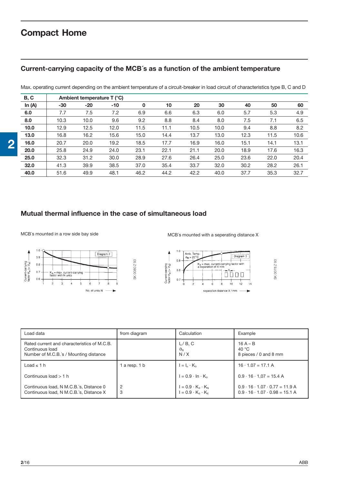### **Current-carrying capacity of the MCB´s as a function of the ambient temperature**

Max. operating current depending on the ambient temperature of a circuit-breaker in load circuit of characteristics type B, C and D

| B, C     |       | Ambient temperature $T$ ( $^{\circ}$ C) |       |      |      |      |      |      |      |      |
|----------|-------|-----------------------------------------|-------|------|------|------|------|------|------|------|
| In $(A)$ | $-30$ | $-20$                                   | $-10$ | 0    | 10   | 20   | 30   | 40   | 50   | 60   |
| 6.0      | 7.7   | 7.5                                     | 7.2   | 6.9  | 6.6  | 6.3  | 6.0  | 5.7  | 5.3  | 4.9  |
| 8.0      | 10.3  | 10.0                                    | 9.6   | 9.2  | 8.8  | 8.4  | 8.0  | 7.5  | 7.1  | 6.5  |
| 10.0     | 12.9  | 12.5                                    | 12.0  | 11.5 | 11.1 | 10.5 | 10.0 | 9.4  | 8.8  | 8.2  |
| 13.0     | 16.8  | 16.2                                    | 15.6  | 15.0 | 14.4 | 13.7 | 13.0 | 12.3 | 11.5 | 10.6 |
| 16.0     | 20.7  | 20.0                                    | 19.2  | 18.5 | 17.7 | 16.9 | 16.0 | 15.1 | 14.1 | 13.1 |
| 20.0     | 25.8  | 24.9                                    | 24.0  | 23.1 | 22.1 | 21.1 | 20.0 | 18.9 | 17.6 | 16.3 |
| 25.0     | 32.3  | 31.2                                    | 30.0  | 28.9 | 27.6 | 26.4 | 25.0 | 23.6 | 22.0 | 20.4 |
| 32.0     | 41.3  | 39.9                                    | 38.5  | 37.0 | 35.4 | 33.7 | 32.0 | 30.2 | 28.2 | 26.1 |
| 40.0     | 51.6  | 49.9                                    | 48.1  | 46.2 | 44.2 | 42.2 | 40.0 | 37.7 | 35.3 | 32.7 |

### **Mutual thermal influence in the case of simultaneous load**

MCB's mounted in a row side bay side MCB's mounted with a seperating distance X



| Load data                                                                                                | from diagram | Calculation                                                                      | Example                                                                                        |
|----------------------------------------------------------------------------------------------------------|--------------|----------------------------------------------------------------------------------|------------------------------------------------------------------------------------------------|
| Rated current and characteristics of M.C.B.<br>Continuous load<br>Number of M.C.B.'s / Mounting distance |              | $I_n$ / B, C<br>$\vartheta_{\text{\tiny R}}$<br>N/X                              | $16A - B$<br>40 $^{\circ}$ C<br>8 pieces / 0 and 8 mm                                          |
| Load $\leq$ 1 h                                                                                          | a resp. 1 b  | $I = I_n \cdot K_0$                                                              | $16 \cdot 1.07 = 17.1$ A                                                                       |
| Continuous load $> 1 h$                                                                                  |              | $I = 0.9 \cdot In \cdot K_a$                                                     | $0.9 \cdot 16 \cdot 1,07 = 15.4 A$                                                             |
| Continuous load, N M.C.B.'s, Distance 0<br>Continuous load, N M.C.B.'s, Distance X                       | 2<br>3       | $I = 0.9 \cdot K_{\theta} \cdot K_{N}$<br>$I = 0.9 \cdot K_{\theta} \cdot K_{X}$ | $0.9 \cdot 16 \cdot 1.07 \cdot 0.77 = 11.9$ A<br>$0.9 \cdot 16 \cdot 1.07 \cdot 0.98 = 15.1$ A |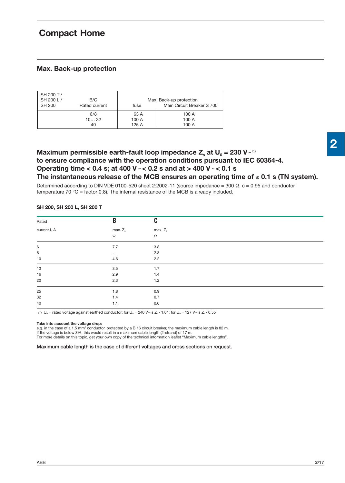## **Compact Home**

#### **Max. Back-up protection**

| SH 200 T /<br>SH 200 L /<br><b>SH 200</b> | B/C<br>Rated current | fuse  | Max. Back-up protection<br>Main Circuit Breaker S 700 |
|-------------------------------------------|----------------------|-------|-------------------------------------------------------|
|                                           | 6/8                  | 63 A  | 100 A                                                 |
|                                           | 1032                 | 100 A | 100 A                                                 |
|                                           | 40                   | 125 A | 100 A                                                 |

### **Maximum permissible earth-fault loop impedance Z<sub>s</sub> at U<sub>0</sub> = 230 V**  $\scriptstyle\sim$  **0 to ensure compliance with the operation conditions pursuant to IEC 60364-4. Operating time < 0.4 s; at 400 V ˜ < 0.2 s and at > 400 V ˜ < 0.1 s** The instantaneous release of the MCB ensures an operating time of  $\leq 0.1$  s (TN system).

Determined according to DIN VDE 0100-520 sheet 2:2002-11 (source impedance = 300  $\Omega$ , c = 0.95 and conductor temperature 70  $^{\circ}$ C = factor 0.8). The internal resistance of the MCB is already included.

| Rated           | B                 | C          |  |
|-----------------|-------------------|------------|--|
| current $I_n A$ | max. $Z_s$        | $max. Z_s$ |  |
|                 | $\Omega$          | $\Omega$   |  |
| 6               | 7.7               | 3.8        |  |
| $\bf8$          | $\qquad \qquad -$ | 2.8        |  |
| $10$            | 4.6               | 2.2        |  |
| $13\,$          | 3.5               | 1.7        |  |
| $16\,$          | 2.9               | 1.4        |  |
| 20              | 2.3               | $1.2$      |  |
| 25              | 1.8               | 0.9        |  |
| 32              | 1.4               | 0.7        |  |
| 40              | 1.1               | 0.6        |  |

#### **SH 200, SH 200 L, SH 200 T**

①  $U_0$  = rated voltage against earthed conductor; for  $U_0 = 240$  V $\sim$  is Z<sub>s</sub>  $\cdot$  1.04; for  $U_0 = 127$  V $\sim$  is Z<sub>s</sub>  $\cdot$  0.55

#### **Take into account the voltage drop:**

e.g. in the case of a 1.5 mm<sup>2</sup> conductor, protected by a B 16 circuit breaker, the maximum cable length is 82 m. If the voltage is below 3%, this would result in a maximum cable length (2-strand) of 17 m. For more details on this topic, get your own copy of the technical information leaflet "Maximum cable lengths".

#### **Maximum cable length is the case of different voltages and cross sections on request.**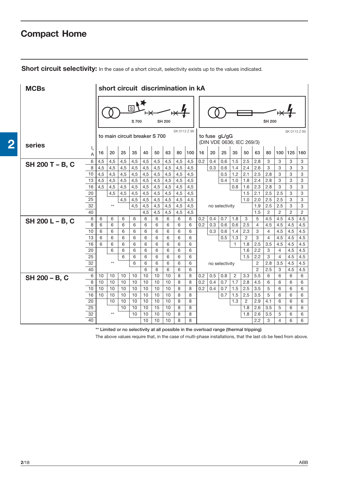# **Compact Home**

**2**

| Short circuit selectivity: In the case of a short circuit, selectivity exists up to the values indicated. |  |
|-----------------------------------------------------------------------------------------------------------|--|
|-----------------------------------------------------------------------------------------------------------|--|

| <b>MCBs</b>     |                                    | short circuit discrimination in kA |              |     |                               |        |         |               |              |        |     |     |                |                |                           |                                  |                |                |              |                |
|-----------------|------------------------------------|------------------------------------|--------------|-----|-------------------------------|--------|---------|---------------|--------------|--------|-----|-----|----------------|----------------|---------------------------|----------------------------------|----------------|----------------|--------------|----------------|
|                 |                                    |                                    |              |     | ाडा<br>S 700                  |        |         | <b>SH 200</b> | SK 0112 Z 99 |        |     |     |                |                |                           |                                  | SH 200         |                | SK 0113 Z 99 |                |
| series          |                                    |                                    |              |     | to main circuit breaker S 700 |        |         |               |              |        |     |     | to fuse gL/gG  |                | (DIN VDE 0636; IEC 269/3) |                                  |                |                |              |                |
|                 | $I_n$                              | 16                                 | 20           | 25  | 35                            | 40     | 50      | 63            | 80           | 100    | 16  | 20  | 25             | 35             | 50                        | 63                               | 80             | 100            | 125          | 160            |
|                 | 6                                  | 4,5                                | 4,5          | 4,5 | 4,5                           | 4,5    | 4,5     | 4,5           | 4,5          | 4,5    | 0.2 | 0.4 | 0.6            | 1.5            | 2.5                       | 2.8                              | 3              | 3              | 3            | 3              |
| SH 200 T - B, C | 8                                  | 4,5                                | 4,5          | 4,5 | 4,5                           | 4,5    | 4,5     | 4,5           | 4,5          | 4,5    |     | 0.3 | 0.6            | 1.4            | 2.4                       | 2.6                              | 3              | 3              | 3            | 3              |
|                 | 10                                 | 4,5                                | 4,5          | 4,5 | 4,5                           | 4,5    | 4,5     | 4,5           | 4,5          | 4,5    |     |     | 0.5            | 1.2            | 2.1                       | 2.5                              | 2.8            | 3              | 3            | 3              |
|                 | 13                                 | 4,5                                | 4,5          | 4,5 | 4,5                           | 4,5    | 4,5     | 4,5           | 4,5          | 4,5    |     |     | 0.4            | 1.0            | 1.8                       | 2.4                              | 2.8            | 3              | 3            | 3              |
|                 | 16                                 | 4,5                                | 4,5          | 4,5 | 4,5                           | 4,5    | 4,5     | 4,5           | 4,5          | 4,5    |     |     |                | 0.8            | 1.6                       | 2.3                              | 2.8            | 3              | 3            | 3              |
|                 | 20                                 |                                    | 4,5          | 4,5 | 4,5                           | 4,5    | 4,5     | 4,5           | 4,5          | 4,5    |     |     |                |                | 1.5                       | 2.1                              | 2.5            | 2.5            | 3            | 3              |
|                 | 25                                 |                                    |              | 4,5 | 4,5                           | 4,5    | 4,5     | 4,5           | 4,5          | 4,5    |     |     |                |                | 1.0                       | 2.0                              | 2.5            | 2.5            | 3            | 3              |
|                 | 32                                 |                                    | $\star\star$ |     | 4,5                           | 4,5    | 4,5     | 4,5           | 4,5          | 4,5    |     |     | no selectivity |                |                           | 1.9                              | 2.5            | 2.5            | 3            | 3              |
|                 | 40                                 |                                    |              |     |                               | 4,5    | 4,5     | 4,5           | 4,5          | 4,5    |     |     |                |                |                           | 1.5                              | $\overline{2}$ | 2              | 2            | $\overline{2}$ |
| SH 200 L - B, C | 6                                  | 6                                  | 6            | 6   | 6                             | 6      | 6       | 6             | 6            | 6      | 0.2 | 0.4 | 0.7            | 1.8            | 3                         | 5                                | 4.5            | 4.5            | 4.5          | 4.5            |
|                 | 8                                  | 6                                  | 6            | 6   | 6                             | 6      | 6       | 6             | 6            | 6      | 0.2 | 0.3 | 0.6            | 0.6            | 2.5                       | $\overline{4}$                   | 4.5            | 4.5            | 4.5          | 4.5            |
|                 | 10                                 | 6                                  | 6            | 6   | 6                             | 6      | 6       | 6             | 6            | 6      |     | 0.3 | 0.6            | 1.4            | 2.3                       | 3                                | $\overline{4}$ | 4.5            | 4.5          | 4.5            |
|                 | 13                                 | 6                                  | 6            | 6   | 6                             | 6      | 6       | 6             | 6            | 6      |     |     | 0.5            | 1.3            | $\overline{2}$            | 3                                | $\overline{4}$ | 4.5            | 4.5          | 4.5            |
|                 | 16                                 | 6                                  | 6            | 6   | 6                             | 6      | 6       | 6             | 6            | 6      |     |     |                | 1              | 1.8                       | 2.5                              | 3.5            | 4.5            | 4.5          | 4.5            |
|                 | 20                                 |                                    | 6            | 6   | 6                             | 6      | 6       | 6             | 6            | 6      |     |     |                |                | 1.6                       | 2.2                              | 3              | 4              | 4.5          | 4.5            |
|                 | $\overline{25}$<br>$\overline{32}$ |                                    | $\star\star$ | 6   | 6                             | 6      | 6       | 6             | 6            | 6      |     |     |                |                | 1.5                       | 2.2                              | 3              | $\overline{4}$ | 4.5          | 4.5            |
|                 | 40                                 |                                    |              |     | 6                             | 6<br>6 | 6       | 6             | 6            | 6      |     |     | no selectivity |                |                           | $\overline{2}$<br>$\overline{2}$ | 2.8<br>2.5     | 3.5            | 4.5          | 4.5            |
|                 | 6                                  | 10                                 | 10           | 10  | 10                            | 10     | 6<br>10 | 6<br>10       | 6<br>8       | 6<br>8 | 0.2 | 0.5 | 0.8            | $\overline{2}$ | 3.3                       | 5.5                              | 6              | 3<br>6         | 4.5<br>6     | 4.5<br>6       |
| SH 200 - B, C   | 8                                  | 10                                 | 10           | 10  | 10                            | 10     | 10      | 10            | 8            | 8      | 0.2 | 0.4 | 0.7            | 1.7            | 2.8                       | 4.5                              | 6              | 6              | 6            | 6              |
|                 | 10                                 | 10                                 | 10           | 10  | 10                            | 10     | 10      | 10            | 8            | 8      | 0.2 | 0.4 | 0.7            | 1.5            | 2.5                       | 3.5                              | 5              | 6              | 6            | 6              |
|                 | 16                                 | 10                                 | 10           | 10  | 10                            | 10     | 10      | 10            | 8            | 8      |     |     | 0.7            | 1.5            | 2.5                       | 3.5                              | 5              | 6              | 6            | 6              |
|                 | 20                                 |                                    | 10           | 10  | 10                            | 10     | 10      | 10            | 8            | 8      |     |     |                | 1.3            | $\overline{2}$            | 2.9                              | 4.1            | 6              | 6            | 6              |
|                 | $\overline{25}$                    |                                    |              | 10  | 10                            | 10     | 15      | 10            | 8            | 8      |     |     |                |                | 1.8                       | 2.6                              | 3.5            | 5              | 6            | 6              |
|                 | $\overline{32}$                    |                                    | $***$        |     | 10                            | 10     | 10      | 10            | 8            | 8      |     |     |                |                | 1.8                       | 2.6                              | 3.5            | 5              | 6            | 6              |
|                 | 40                                 |                                    |              |     |                               | 10     | 10      | 10            | 8            | 8      |     |     |                |                |                           | 2.2                              | 3              | 4              | 6            | 6              |

**\*\* Limited or no selectivity at all possible in the overload range (thermal tripping)**

The above values require that, in the case of multi-phase installations, that the last cb be feed from above.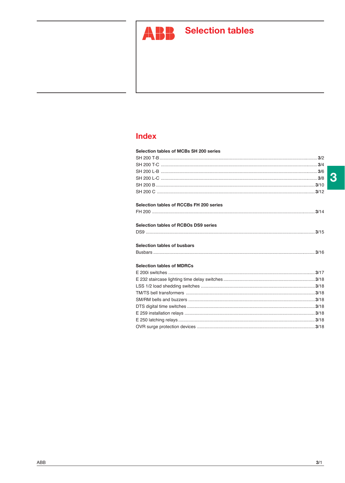

# **ABB** Selection tables

## **Index**

| Selection tables of MCBs SH 200 series  |  |
|-----------------------------------------|--|
|                                         |  |
|                                         |  |
|                                         |  |
|                                         |  |
|                                         |  |
|                                         |  |
| Selection tables of RCCBs FH 200 series |  |
|                                         |  |
|                                         |  |
| Selection tables of RCBOs DS9 series    |  |
|                                         |  |
| Selection tables of busbars             |  |
|                                         |  |
|                                         |  |
| <b>Selection tables of MDRCs</b>        |  |
|                                         |  |
|                                         |  |
|                                         |  |
|                                         |  |
|                                         |  |
|                                         |  |
|                                         |  |
|                                         |  |

 $\overline{3}$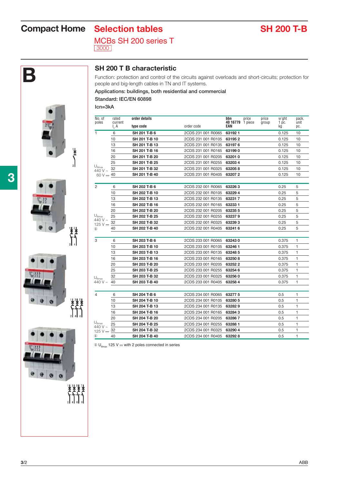# **Compact Home** Selection tables SH 200 T-B

MCBs SH 200 series T 3000



### **SH 200 T B characteristic**

Function: protection and control of the circuits against overloads and short-circuits; protection for people and big-length cables in TN and IT systems.

#### **Applications: buildings, both residential and commercial Standard: IEC/EN 60898**

**Icn=3kA**

| No. of<br>poles                              | rated<br>current | order details |                            | bbn<br>price<br>40 16779 1 piece | price | w'aht       | pack.<br>unit |
|----------------------------------------------|------------------|---------------|----------------------------|----------------------------------|-------|-------------|---------------|
|                                              | $I_{n}A$         | type code     | order code                 | EAN                              | group | 1 pc.<br>kg | pc.           |
| 1                                            | 6                | SH 201 T-B 6  | 2CDS 231 001 R0065         | 631921                           |       | 0.125       | 10            |
|                                              | 10               | SH 201 T-B 10 | 2CDS 231 001 R0105         | 631952                           |       | 0.125       | 10            |
|                                              | 13               | SH 201 T-B 13 | 2CDS 231 001 R0135 63197 6 |                                  |       | 0.125       | 10            |
|                                              | 16               | SH 201 T-B 16 | 2CDS 231 001 R0165 63199 0 |                                  |       | 0.125       | 10            |
|                                              | 20               | SH 201 T-B 20 | 2CDS 231 001 R0205         | 632010                           |       | 0.125       | 10            |
|                                              | 25               | SH 201 T-B 25 | 2CDS 231 001 R0255         | 632034                           |       | 0.125       | 10            |
| $U_{\text{Bmax}}$<br>440 V $\sim$            | 32               | SH 201 T-B 32 | 2CDS 231 001 R0325         | 632058                           |       | 0.125       | 10            |
| 60 V $\frac{1}{2}$ 40                        |                  | SH 201 T-B 40 | 2CDS 231 001 R0405         | 632072                           |       | 0.125       | 10            |
| 2                                            | 6                | SH 202 T-B 6  | 2CDS 232 001 R0065         | 632263                           |       | 0.25        | 5             |
|                                              | 10               | SH 202 T-B 10 | 2CDS 232 001 R0105         | 632294                           |       | 0.25        | 5             |
|                                              | 13               | SH 202 T-B 13 | 2CDS 232 001 R0135         | 632317                           |       | 0.25        | 5             |
|                                              | 16               | SH 202 T-B 16 | 2CDS 232 001 R0165         | 632331                           |       | 0.25        | 5             |
|                                              | 20               | SH 202 T-B 20 | 2CDS 232 001 R0205         | 632355                           |       | 0.25        | 5             |
| $U_{\text{Bmax}}$                            | 25               | SH 202 T-B 25 | 2CDS 232 001 R0255         | 632379                           |       | 0.25        | 5             |
| 440 V $\sim$                                 | 32               | SH 202 T-B 32 | 2CDS 232 001 R0325         | 632393                           |       | 0.25        | 5             |
| 125 V $\pm$<br>$^\circledR$                  | 40               | SH 202 T-B 40 | 2CDS 232 001 R0405         | 632416                           |       | 0.25        | 5             |
|                                              |                  |               |                            |                                  |       |             |               |
| 3                                            | 6                | SH 203 T-B 6  | 2CDS 233 001 R0065         | 632430                           |       | 0.375       | 1             |
|                                              | 10               | SH 203 T-B 10 | 2CDS 233 001 R0105         | 63246 1                          |       | 0.375       | 1             |
|                                              | 13               | SH 203 T-B 13 | 2CDS 233 001 R0135         | 63248 5                          |       | 0.375       | $\mathbf{1}$  |
|                                              | 16               | SH 203 T-B 16 | 2CDS 233 001 R0165         | 632508                           |       | 0.375       | $\mathbf{1}$  |
|                                              | 20               | SH 203 T-B 20 | 2CDS 233 001 R0205         | 632522                           |       | 0.375       | $\mathbf{1}$  |
|                                              | 25               | SH 203 T-B 25 | 2CDS 233 001 R0255         | 63254 6                          |       | 0.375       | $\mathbf{1}$  |
| U <sub>Bmax</sub>                            | 32               | SH 203 T-B 32 | 2CDS 233 001 R0325         | 632560                           |       | 0.375       | $\mathbf{1}$  |
| 440 V $\sim$                                 | 40               | SH 203 T-B 40 | 2CDS 233 001 R0405         | 632584                           |       | 0.375       | $\mathbf{1}$  |
|                                              |                  |               |                            |                                  |       |             |               |
| 4                                            | 6                | SH 204 T-B 6  | 2CDS 234 001 R0065         | 632775                           |       | 0.5         | 1             |
|                                              | 10               | SH 204 T-B 10 | 2CDS 234 001 R0105         | 63280 5                          |       | 0.5         | 1             |
|                                              | 13               | SH 204 T-B 13 | 2CDS 234 001 R0135         | 632829                           |       | 0.5         | 1             |
|                                              | 16               | SH 204 T-B 16 | 2CDS 234 001 R0165         | 632843                           |       | 0.5         | $\mathbf{1}$  |
|                                              | 20               | SH 204 T-B 20 | 2CDS 234 001 R0205         | 632867                           |       | 0.5         | 1             |
| $\mathsf{U}_{\mathsf{Bmax}}$<br>440 V $\sim$ | 25               | SH 204 T-B 25 | 2CDS 234 001 R0255         | 632881                           |       | 0.5         | 1             |
| 125 V $\pm$                                  | 32               | SH 204 T-B 32 | 2CDS 234 001 R0325         | 632904                           |       | 0.5         | 1             |
| $\mathbf{r}$                                 | 40               | SH 204 T-B 40 | 2CDS 234 001 R0405         | 632928                           |       | 0.5         | $\mathbf{1}$  |

 $\circledR U_{\text{Bmax}}$  125 V ... with 2 poles connected in series



ł





**3**/2 ABB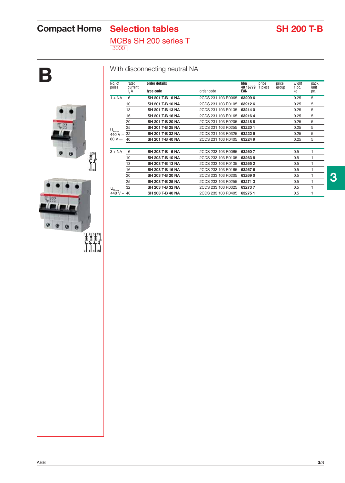# **Compact Home** Selection tables SH 200 T-B

MCBs SH 200 series T

3000

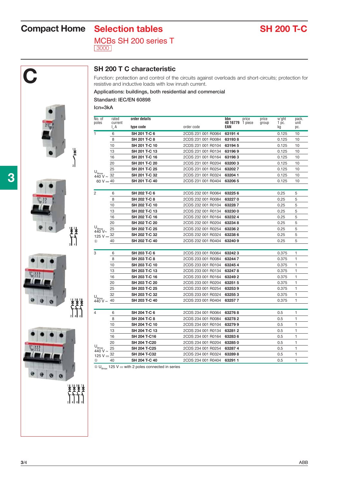# **Compact Home** Selection tables SH 200 T-C

MCBs SH 200 series T 3000



**C SH 200 T C characteristic**<br>Function: protection and control of the resistive and inductive loads with low Function: protection and control of the circuits against overloads and short-circuits; protection for resistive and inductive loads with low inrush current.

# **Applications: buildings, both residential and commercial**

**Standard: IEC/EN 60898**

**Icn=3kA**

| No. of                                          | rated               | order details                |                                          | bbn<br>price<br>price   | w'ght<br>pack.                      |
|-------------------------------------------------|---------------------|------------------------------|------------------------------------------|-------------------------|-------------------------------------|
| poles                                           | current<br>$I_{n}A$ | type code                    | order code                               | 40 16779 1 piece<br>EAN | group<br>1 pc.<br>unit<br>kg<br>pc. |
| 1                                               | 6                   | SH 201 T-C 6                 | 2CDS 231 001 R0064                       | 631914                  | 0.125<br>10                         |
|                                                 | 8                   | SH 201 T-C 8                 | 2CDS 231 001 R0084                       | 631938                  | 10<br>0.125                         |
|                                                 | 10                  | SH 201 T-C 10                | 2CDS 231 001 R0104                       | 631945                  | 10<br>0.125                         |
|                                                 | 13                  | SH 201 T-C 13                | 2CDS 231 001 R0134                       | 631969                  | 0.125<br>10                         |
|                                                 | 16                  | SH 201 T-C 16                | 2CDS 231 001 R0164                       | 631983                  | 0.125<br>10                         |
|                                                 | 20                  | SH 201 T-C 20                | 2CDS 231 001 R0204                       | 632003                  | 0.125<br>10                         |
|                                                 | 25                  | SH 201 T-C 25                | 2CDS 231 001 R0254                       | 632027                  | 0.125<br>10                         |
| $U_{Bmax}$<br>$440 \text{ V} \sim \frac{32}{2}$ |                     | SH 201 T-C 32                | 2CDS 231 001 R0324                       | 63204 1                 | 0.125<br>10                         |
| 60 V $-40$                                      |                     | SH 201 T-C 40                | 2CDS 231 001 R0404                       | 632065                  | 10<br>0.125                         |
| 2                                               | 6                   | SH 202 T-C 6                 | 2CDS 232 001 R0064                       | 632256                  | 5<br>0.25                           |
|                                                 | 8                   | SH 202 T-C 8                 | 2CDS 232 001 R0084                       | 632270                  | 5<br>0.25                           |
|                                                 | 10                  | SH 202 T-C 10                | 2CDS 232 001 R0104                       | 632287                  | 5<br>0.25                           |
|                                                 | 13                  | SH 202 T-C 13                | 2CDS 232 001 R0134                       | 632300                  | 5<br>0.25                           |
|                                                 | 16                  | SH 202 T-C 16                | 2CDS 232 001 R0164                       | 632324                  | 0.25<br>5                           |
|                                                 | 20                  | SH 202 T-C 20                | 2CDS 232 001 R0204                       | 632348                  | 0.25<br>5                           |
| $U_{_{\text{Bmax}}}$                            | 25                  | SH 202 T-C 25                | 2CDS 232 001 R0254                       | 632362                  | 5<br>0.25                           |
| 440 V~<br>125 V $\frac{32}{1}$                  |                     | SH 202 T-C 32                | 2CDS 232 001 R0324                       | 632386                  | 5<br>0.25                           |
| $^{\circ}$                                      | 40                  | SH 202 T-C 40                | 2CDS 232 001 R0404                       | 632409                  | 5<br>0.25                           |
|                                                 |                     |                              |                                          |                         |                                     |
| 3                                               | 6                   | SH 203 T-C 6                 | 2CDS 233 001 R0064                       | 632423                  | 0.375<br>1                          |
|                                                 | 8                   | SH 203 T-C 8                 | 2CDS 233 001 R0084                       | 632447                  | 0.375<br>1                          |
|                                                 | 10                  | SH 203 T-C 10                | 2CDS 233 001 R0104                       | 632454                  | 0.375<br>1                          |
|                                                 | 13                  | SH 203 T-C 13                | 2CDS 233 001 R0134                       | 632478                  | 1<br>0.375                          |
|                                                 | 16                  | SH 203 T-C 16                | 2CDS 233 001 R0164                       | 632492                  | 0.375<br>1                          |
|                                                 | 20                  | SH 203 T-C 20                | 2CDS 233 001 R0204                       | 632515                  | 0.375<br>1                          |
|                                                 | 25                  | SH 203 T-C 25                | 2CDS 233 001 R0254                       | 632539                  | 0.375<br>1                          |
|                                                 | 32                  | SH 203 T-C 32                | 2CDS 233 001 R0324                       | 632553                  | 1<br>0.375                          |
| $U_{\text{Bmax}}$<br>440 V ~                    | 40                  | SH 203 T-C 40                | 2CDS 233 001 R0404                       | 632577                  | 0.375<br>1                          |
|                                                 |                     |                              |                                          |                         |                                     |
| 4                                               | 6<br>8              | SH 204 T-C 6<br>SH 204 T-C 8 | 2CDS 234 001 R0064<br>2CDS 234 001 R0084 | 632768<br>632782        | 0.5<br>1<br>0.5<br>1                |
|                                                 | 10                  | SH 204 T-C 10                | 2CDS 234 001 R0104                       | 632799                  | 0.5<br>1                            |
|                                                 | 13                  | SH 204 T-C 13                | 2CDS 234 001 R0134                       | 632812                  | $\mathbf{1}$<br>0.5                 |
|                                                 |                     | SH 204 T-C16                 | 2CDS 234 001 R0164                       | 632836                  | 1<br>0.5                            |
|                                                 | 16<br>20            | SH 204 T-C20                 | 2CDS 234 001 R0204                       | 632850                  | 1<br>0.5                            |
| $U_{_{\text{Bmax}}}$                            | 25                  | SH 204 T-C25                 | 2CDS 234 001 R0254                       | 632874                  | 0.5<br>1                            |
| 440 V $\sim$                                    | 32                  | SH 204 T-C32                 | 2CDS 234 001 R0324                       | 632898                  | 1<br>0.5                            |
| 125 V $\pm$                                     | 40                  | SH 204 T-C 40                | 2CDS 234 001 R0404                       |                         | 1<br>0.5                            |
| $^{\circ}$                                      |                     |                              |                                          | 632911                  |                                     |

 $\circled{1}$  U<sub>Bmax</sub> 125 V ... with 2 poles connected in series



 $\sum_{i=1}^{n}$ 



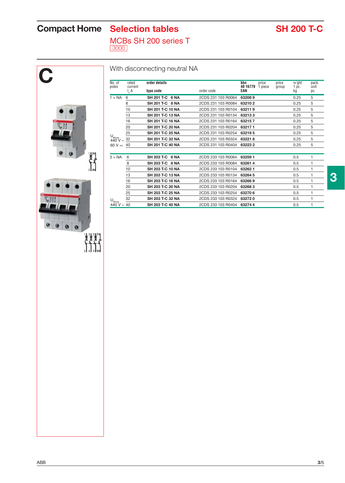# **Compact Home** Selection tables SH 200 T-C

MCBs SH 200 series T

3000

| unit<br>pc.<br>5<br>5 | w'ght<br>1 pc.<br>kġ |       |                  |                 |                    |                  |                             |                                    |
|-----------------------|----------------------|-------|------------------|-----------------|--------------------|------------------|-----------------------------|------------------------------------|
|                       |                      | group | price<br>1 piece | 40 16779<br>EAN | order code         | type code        | rated<br>current<br>$I_n A$ | poles                              |
|                       | 0.25                 |       |                  | 632089          | 2CDS 231 103 R0064 | SH 201 T-C 6 NA  | 6                           | $1 + NA$                           |
|                       | 0.25                 |       |                  | 632102          | 2CDS 231 103 R0084 | SH 201 T-C 8 NA  | 8                           |                                    |
| 5                     | 0.25                 |       |                  | 632119          | 2CDS 231 103 R0104 | SH 201 T-C 10 NA | 10                          |                                    |
| 5                     | 0.25                 |       |                  | 632133          | 2CDS 231 103 R0134 | SH 201 T-C 13 NA | 13                          |                                    |
| 5                     | 0.25                 |       |                  | 632157          | 2CDS 231 103 R0164 | SH 201 T-C 16 NA | 16                          |                                    |
| 5                     | 0.25                 |       |                  | 632171          | 2CDS 231 103 R0204 | SH 201 T-C 20 NA | 20                          |                                    |
| 5                     | 0.25                 |       |                  | 632195          | 2CDS 231 103 R0254 | SH 201 T-C 25 NA | 25                          |                                    |
| 5                     | 0.25                 |       |                  | 632218          | 2CDS 231 103 R0324 | SH 201 T-C 32 NA | 32                          | $U_{\text{Bmax}}$<br>440 V ~       |
| 5                     | 0.25                 |       |                  | 632232          | 2CDS 231 103 R0404 | SH 201 T-C 40 NA |                             | 60 V $\pm$ 40                      |
|                       |                      |       |                  |                 |                    |                  |                             |                                    |
| 1                     | 0.5                  |       |                  | 63259 1         | 2CDS 233 103 R0064 | SH 203 T-C 6 NA  | 6                           | $3 + NA$                           |
| 1                     | 0.5                  |       |                  | 632614          | 2CDS 233 103 R0084 | SH 203 T-C 8 NA  | 8                           |                                    |
| 1                     | 0.5                  |       |                  | 632621          | 2CDS 233 103 R0104 | SH 203 T-C 10 NA | 10                          |                                    |
| 1                     | 0.5                  |       |                  | 63264 5         | 2CDS 233 103 R0134 | SH 203 T-C 13 NA | 13                          |                                    |
| 1                     | 0.5                  |       |                  | 632669          | 2CDS 233 103 R0164 | SH 203 T-C 16 NA | 16                          |                                    |
| 1                     | 0.5                  |       |                  | 632683          | 2CDS 233 103 R0204 | SH 203 T-C 20 NA | 20                          |                                    |
| 1                     | 0.5                  |       |                  | 632706          | 2CDS 233 103 R0254 | SH 203 T-C 25 NA | 25                          |                                    |
| 1                     | 0.5                  |       |                  | 632720          | 2CDS 233 103 R0324 | SH 203 T-C 32 NA | 32                          |                                    |
| $\mathbf{1}$          | 0.5                  |       |                  | 632744          | 2CDS 233 103 R0404 | SH 203 T-C 40 NA |                             | $U_{\text{Bmax}}$ $\frac{32}{440}$ |
|                       |                      |       |                  |                 |                    |                  |                             |                                    |
|                       |                      |       |                  |                 |                    |                  |                             |                                    |
|                       |                      |       |                  |                 |                    |                  |                             |                                    |
|                       |                      |       |                  |                 |                    |                  |                             |                                    |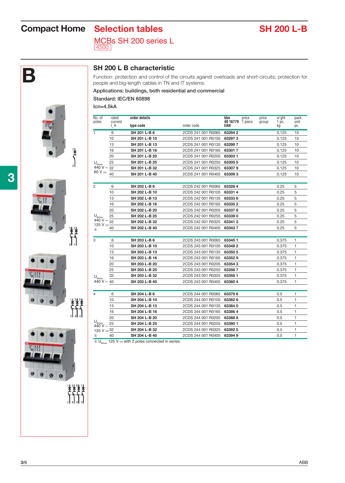# **Compact Home** Selection tables SH 200 L-B

MCBs SH 200 series L 4500



**B SH 200 L B characteristic**<br>
Function: protection and control of the circuits again<br>
people and big-length cables in TN and IT systems. Function: protection and control of the circuits against overloads and short-circuits; protection for

#### **Applications: buildings, both residential and commercial Standard: IEC/EN 60898**

**Icn=4.5kA**

| No. of                      | rated              | order details |                    | bbn<br>price            | price | w'ght                  | pack.        |
|-----------------------------|--------------------|---------------|--------------------|-------------------------|-------|------------------------|--------------|
| poles                       | current<br>$I_n A$ | type code     | order code         | 40 16779 1 piece<br>EAN | group | 1 <sub>pc.</sub><br>kg | unit<br>pc.  |
| 1                           | 6                  | SH 201 L-B 6  | 2CDS 241 001 R0065 | 632942                  |       | 0.125                  | 10           |
|                             | 10                 | SH 201 L-B 10 | 2CDS 241 001 R0105 | 632973                  |       | 0.125                  | 10           |
|                             | 13                 | SH 201 L-B 13 | 2CDS 241 001 R0135 | 632997                  |       | 0.125                  | 10           |
|                             | 16                 | SH 201 L-B 16 | 2CDS 241 001 R0165 | 633017                  |       | 0.125                  | 10           |
|                             | 20                 | SH 201 L-B 20 | 2CDS 241 001 R0205 | 633031                  |       | 0.125                  | 10           |
| U <sub>Brax</sub>           | 25                 | SH 201 L-B 25 | 2CDS 241 001 R0255 | 633055                  |       | 0.125                  | 10           |
| $440V \sim 32$              |                    | SH 201 L-B 32 | 2CDS 241 001 R0325 | 633079                  |       | 0.125                  | 10           |
| 60 V $\overline{\ldots}$    | 40                 | SH 201 L-B 40 | 2CDS 241 001 R0405 | 633093                  |       | 0.125                  | 10           |
| 2                           | 6                  | SH 202 L-B 6  | 2CDS 242 001 R0065 | 633284                  |       | 0.25                   | 5            |
|                             | 10                 | SH 202 L-B 10 | 2CDS 242 001 R0105 | 633314                  |       | 0.25                   | 5            |
|                             | 13                 | SH 202 L-B 13 | 2CDS 242 001 R0135 | 633338                  |       | 0.25                   | 5            |
|                             | 16                 | SH 202 L-B 16 | 2CDS 242 001 R0165 | 633352                  |       | 0.25                   | 5            |
|                             | 20                 | SH 202 L-B 20 | 2CDS 242 001 R0205 | 633376                  |       | 0.25                   | 5            |
| $U_{Bmax}$                  | 25                 | SH 202 L-B 25 | 2CDS 242 001 R0255 | 633390                  |       | 0.25                   | 5            |
| $440V \sim$<br>125 V $\pm$  | 32                 | SH 202 L-B 32 | 2CDS 242 001 R0325 | 633413                  |       | 0.25                   | 5            |
| $\mathbf{r}$                | 40                 | SH 202 L-B 40 | 2CDS 242 001 R0405 | 633437                  |       | 0.25                   | 5            |
| 3                           | 6                  | SH 203 L-B 6  | 2CDS 243 001 R0065 | 633451                  |       | 0.375                  | 1            |
|                             | 10                 | SH 203 L-B 10 | 2CDS 243 001 R0105 | 633482                  |       | 0.375                  | $\mathbf{1}$ |
|                             | 13                 | SH 203 L-B 13 | 2CDS 243 001 R0135 | 63350 5                 |       | 0.375                  | $\mathbf{1}$ |
|                             | 16                 | SH 203 L-B 16 | 2CDS 243 001 R0165 | 633529                  |       | 0.375                  | 1            |
|                             | 20                 | SH 203 L-B 20 | 2CDS 243 001 R0205 | 633543                  |       | 0.375                  | $\mathbf{1}$ |
|                             | 25                 | SH 203 L-B 25 | 2CDS 243 001 R0255 | 633567                  |       | 0.375                  | 1            |
| $U_{Bmax}$                  | 32                 | SH 203 L-B 32 | 2CDS 243 001 R0325 | 633581                  |       | 0.375                  | $\mathbf{1}$ |
| 440 V $\sim$ 40             |                    | SH 203 L-B 40 | 2CDS 243 001 R0405 | 633604                  |       | 0.375                  | $\mathbf{1}$ |
| 4                           | 6                  | SH 204 L-B 6  | 2CDS 244 001 R0065 | 633796                  |       | 0.5                    | 1            |
|                             | 10                 | SH 204 L-B 10 | 2CDS 244 001 R0105 | 633826                  |       | 0.5                    | 1            |
|                             | 13                 | SH 204 L-B 13 | 2CDS 244 001 R0135 | 633840                  |       | 0.5                    | 1            |
|                             | 16                 | SH 204 L-B 16 | 2CDS 244 001 R0165 | 633864                  |       | 0.5                    | 1            |
|                             | 20                 | SH 204 L-B 20 | 2CDS 244 001 R0205 | 633888                  |       | 0.5                    | $\mathbf{1}$ |
| $U_{Bmax}$                  | 25                 | SH 204 L-B 25 | 2CDS 244 001 R0255 | 63390 1                 |       | 0.5                    | $\mathbf{1}$ |
| 440 V $\sim$<br>125 V $-32$ |                    | SH 204 L-B 32 | 2CDS 244 001 R0325 | 633925                  |       | 0.5                    | $\mathbf{1}$ |
| $\mathbf{r}$                | 40                 | SH 204 L-B 40 | 2CDS 244 001 R0405 | 633949                  |       | 0.5                    | $\mathbf{1}$ |
|                             |                    |               |                    |                         |       |                        |              |

 $\overline{O}$  U<sub>Bmax</sub> 125 V ... with 2 poles connected in series



 $\sum_{i=1}^{n}$ 





**3**/6 ABB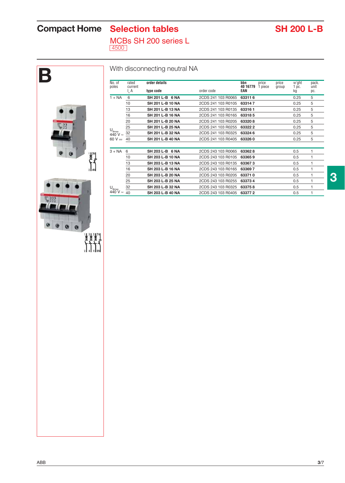# **Compact Home** Selection tables SH 200 L-B

MCBs SH 200 series L 4500

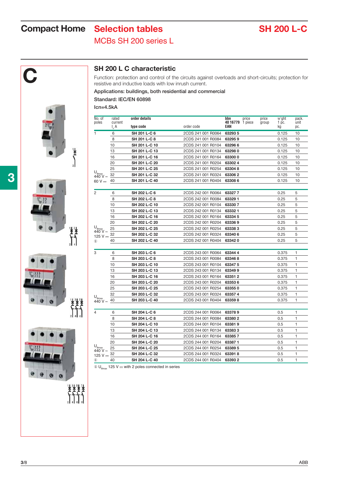# **Compact Home** Selection tables SH 200 L-C

## MCBs SH 200 series L



**SH 200 L C characteristic**<br>
Function: protection and control of the resistive and inductive loads with low Function: protection and control of the circuits against overloads and short-circuits; protection for resistive and inductive loads with low inrush current.

#### **Applications: buildings, both residential and commercial**

**Standard: IEC/EN 60898**

**Icn=4.5kA**

| No. of                           | rated              | order details |                    | bbn<br>price            | price | w'ght       | pack.        |
|----------------------------------|--------------------|---------------|--------------------|-------------------------|-------|-------------|--------------|
| poles                            | current<br>$I_n A$ | type code     | order code         | 40 16779 1 piece<br>EAN | group | 1 pc.<br>kg | unit<br>pc.  |
| 1.                               | 6                  | SH 201 L-C 6  | 2CDS 241 001 R0064 | 632935                  |       | 0.125       | 10           |
|                                  | 8                  | SH 201 L-C 8  | 2CDS 241 001 R0084 | 632959                  |       | 0.125       | 10           |
|                                  | 10                 | SH 201 L-C 10 | 2CDS 241 001 R0104 | 632966                  |       | 0.125       | 10           |
|                                  | 13                 | SH 201 L-C 13 | 2CDS 241 001 R0134 | 632980                  |       | 0.125       | 10           |
|                                  | 16                 | SH 201 L-C 16 | 2CDS 241 001 R0164 | 633000                  |       | 0.125       | 10           |
|                                  | 20                 | SH 201 L-C 20 | 2CDS 241 001 R0204 | 633024                  |       | 0.125       | 10           |
|                                  | 25                 | SH 201 L-C 25 | 2CDS 241 001 R0254 | 633048                  |       | 0.125       | 10           |
| $U_{\text{Bmax}}$<br>440 V ~     | 32                 | SH 201 L-C 32 | 2CDS 241 001 R0324 | 633062                  |       | 0.125       | 10           |
| 60 V $\pm$                       | 40                 | SH 201 L-C 40 | 2CDS 241 001 R0404 | 633086                  |       | 0.125       | 10           |
|                                  |                    |               |                    |                         |       |             |              |
| $\overline{2}$                   | 6                  | SH 202 L-C 6  | 2CDS 242 001 R0064 | 633277                  |       | 0.25        | 5            |
|                                  | 8                  | SH 202 L-C 8  | 2CDS 242 001 R0084 | 633291                  |       | 0.25        | 5            |
|                                  | 10                 | SH 202 L-C 10 | 2CDS 242 001 R0104 | 633307                  |       | 0.25        | 5            |
|                                  | 13                 | SH 202 L-C 13 | 2CDS 242 001 R0134 | 633321                  |       | 0.25        | 5            |
|                                  | 16                 | SH 202 L-C 16 | 2CDS 242 001 R0164 | 633345                  |       | 0.25        | 5            |
|                                  | 20                 | SH 202 L-C 20 | 2CDS 242 001 R0204 | 633369                  |       | 0.25        | 5            |
| $U_{Bmax}$<br>440 V $\sim$       | 25                 | SH 202 L-C 25 | 2CDS 242 001 R0254 | 633383                  |       | 0.25        | 5            |
| 125 V $\pm$                      | 32                 | SH 202 L-C 32 | 2CDS 242 001 R0324 | 633406                  |       | 0.25        | 5            |
| $\mathbf{r}$                     | 40                 | SH 202 L-C 40 | 2CDS 242 001 R0404 | 633420                  |       | 0.25        | 5            |
| 3                                | 6                  | SH 203 L-C 6  | 2CDS 243 001 R0064 | 633444                  |       | 0.375       | 1            |
|                                  | 8                  | SH 203 L-C 8  | 2CDS 243 001 R0084 | 633468                  |       | 0.375       | 1            |
|                                  | 10                 | SH 203 L-C 10 | 2CDS 243 001 R0104 | 633475                  |       | 0.375       | 1            |
|                                  | 13                 | SH 203 L-C 13 | 2CDS 243 001 R0134 | 633499                  |       | 0.375       | 1            |
|                                  | 16                 | SH 203 L-C 16 | 2CDS 243 001 R0164 | 633512                  |       | 0.375       | 1            |
|                                  | 20                 | SH 203 L-C 20 | 2CDS 243 001 R0204 | 633536                  |       | 0.375       | 1            |
|                                  | 25                 | SH 203 L-C 25 | 2CDS 243 001 R0254 | 633550                  |       | 0.375       | 1            |
|                                  | 32                 | SH 203 L-C 32 | 2CDS 243 001 R0324 | 633574                  |       | 0.375       | 1            |
| $U_{\text{Bmax}}$<br>440 V ~     | 40                 | SH 203 L-C 40 | 2CDS 243 001 R0404 | 633598                  |       | 0.375       | 1            |
|                                  |                    |               |                    |                         |       |             |              |
| 4                                | 6                  | SH 204 L-C 6  | 2CDS 244 001 R0064 | 633789                  |       | 0.5         | 1            |
|                                  | 8                  | SH 204 L-C 8  | 2CDS 244 001 R0084 | 633802                  |       | 0.5         | 1            |
|                                  | 10                 | SH 204 L-C 10 | 2CDS 244 001 R0104 | 633819                  |       | 0.5         | 1            |
|                                  | 13                 | SH 204 L-C 13 | 2CDS 244 001 R0134 | 633833                  |       | 0.5         | 1            |
|                                  | 16                 | SH 204 L-C 16 | 2CDS 244 001 R0164 | 633857                  |       | 0.5         | 1            |
|                                  | 20                 | SH 204 L-C 20 | 2CDS 244 001 R0204 | 633871                  |       | 0.5         | 1            |
| $U_{\text{Bmax}}$<br>$440V \sim$ | 25                 | SH 204 L-C 25 | 2CDS 244 001 R0254 | 63389 5                 |       | 0.5         | 1            |
| 125 V $\frac{32}{1}$             |                    | SH 204 L-C 32 | 2CDS 244 001 R0324 | 633918                  |       | 0.5         | 1            |
| $\mathbf{D}$                     | 40                 | SH 204 L-C 40 | 2CDS 244 001 R0404 | 633932                  |       | 0.5         | $\mathbf{1}$ |

 $\circledR$  U<sub>Bmax</sub> 125 V ... with 2 poles connected in series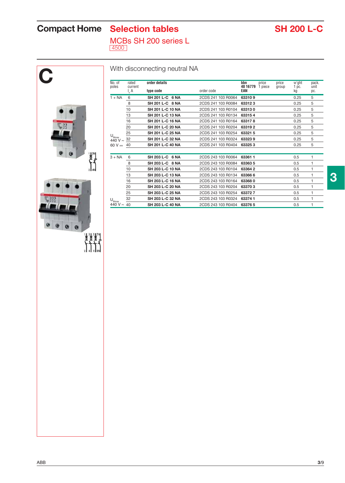# **Compact Home** Selection tables SH 200 L-C

MCBs SH 200 series L 4500



### With disconnecting neutral NA

| No. of<br>poles            | rated<br>current | order details    |                    | bbn<br>price<br>40 16779<br>1 piece | price<br>group | w'ght<br>1 pc. | pack.<br>unit |
|----------------------------|------------------|------------------|--------------------|-------------------------------------|----------------|----------------|---------------|
|                            | $I_n A$          | type code        | order code         | EAN                                 |                | kg             | pc.           |
| $1 + NA$                   | 6                | SH 201 L-C 6 NA  | 2CDS 241 103 R0064 | 633109                              |                | 0.25           | 5             |
|                            | 8                | SH 201 L-C 8 NA  | 2CDS 241 103 R0084 | 633123                              |                | 0.25           | 5             |
|                            | 10               | SH 201 L-C 10 NA | 2CDS 241 103 R0104 | 633130                              |                | 0.25           | 5             |
|                            | 13               | SH 201 L-C 13 NA | 2CDS 241 103 R0134 | 633154                              |                | 0.25           | 5             |
|                            | 16               | SH 201 L-C 16 NA | 2CDS 241 103 R0164 | 633178                              |                | 0.25           | 5             |
|                            | 20               | SH 201 L-C 20 NA | 2CDS 241 103 R0204 | 633192                              |                | 0.25           | 5             |
|                            | 25               | SH 201 L-C 25 NA | 2CDS 241 103 R0254 | 633215                              |                | 0.25           | 5             |
| $U_{Bmax}$<br>440 V $\sim$ | 32               | SH 201 L-C 32 NA | 2CDS 241 103 R0324 | 633239                              |                | 0.25           | 5             |
| 60 V $\pm$                 | 40               | SH 201 L-C 40 NA | 2CDS 241 103 R0404 | 633253                              |                | 0.25           | 5             |
|                            |                  |                  |                    |                                     |                |                |               |
| $3 + NA$                   | 6                | SH 203 L-C 6 NA  | 2CDS 243 103 R0064 | 633611                              |                | 0.5            | 1             |
|                            | 8                | SH 203 L-C 8 NA  | 2CDS 243 103 R0084 | 633635                              |                | 0.5            | 1             |
|                            | 10               | SH 203 L-C 10 NA | 2CDS 243 103 R0104 | 633642                              |                | 0.5            | 1             |
|                            | 13               | SH 203 L-C 13 NA | 2CDS 243 103 R0134 | 633666                              |                | 0.5            | 1             |
|                            | 16               | SH 203 L-C 16 NA | 2CDS 243 103 R0164 | 633680                              |                | 0.5            | 1             |
|                            | 20               | SH 203 L-C 20 NA | 2CDS 243 103 R0204 | 633703                              |                | 0.5            | 1             |
|                            | 25               | SH 203 L-C 25 NA | 2CDS 243 103 R0254 | 633727                              |                | 0.5            | 1             |
| $U_{Bmax}$                 | 32               | SH 203 L-C 32 NA | 2CDS 243 103 R0324 | 633741                              |                | 0.5            | 1             |
| 440 V $\sim$               | 40               | SH 203 L-C 40 NA | 2CDS 243 103 R0404 | 633765                              |                | 0.5            | 1             |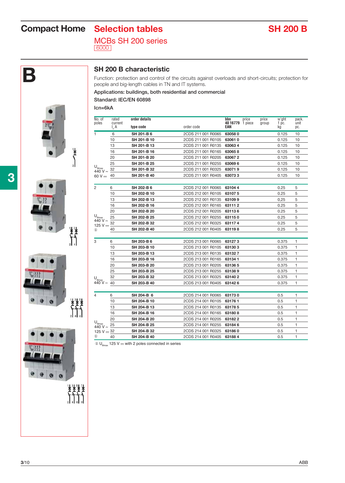# **Compact Home** Selection tables SH 200 B

MCBs SH 200 series 6000



**B SH 200 B characteristic**<br>Function: protection and control of<br>people and big-length cables in TN Function: protection and control of the circuits against overloads and short-circuits; protection for people and big-length cables in TN and IT systems.

#### **Applications: buildings, both residential and commercial Standard: IEC/EN 60898**

**Icn=6kA**

| No. of                     | rated              | order details |                    | bbn<br>price            | price | w'ght         | pack.       |
|----------------------------|--------------------|---------------|--------------------|-------------------------|-------|---------------|-------------|
| poles                      | current<br>$I_n A$ | type code     | order code         | 40 16779 1 piece<br>EAN | group | $1$ pc.<br>kg | unit<br>pc. |
| 1                          | 6                  | SH 201-B 6    | 2CDS 211 001 R0065 | 630580                  |       | 0.125         | 10          |
|                            | 10                 | SH 201-B 10   | 2CDS 211 001 R0105 | 630610                  |       | 0.125         | 10          |
|                            | 13                 | SH 201-B 13   | 2CDS 211 001 R0135 | 630634                  |       | 0.125         | 10          |
|                            | 16                 | SH 201-B 16   | 2CDS 211 001 R0165 | 630658                  |       | 0.125         | 10          |
|                            | 20                 | SH 201-B 20   | 2CDS 211 001 R0205 | 630672                  |       | 0.125         | 10          |
|                            | 25                 | SH 201-B 25   | 2CDS 211 001 R0255 | 630696                  |       | 0.125         | 10          |
| $U_{Bmax}$<br>440 V $\sim$ | 32                 | SH 201-B 32   | 2CDS 211 001 R0325 | 630719                  |       | 0.125         | 10          |
| 60 V $\pm$                 | 40                 | SH 201-B 40   | 2CDS 211 001 R0405 | 630733                  |       | 0.125         | 10          |
|                            |                    |               |                    |                         |       |               |             |
| $\overline{2}$             | 6                  | SH 202-B 6    | 2CDS 212 001 R0065 | 631044                  |       | 0.25          | 5           |
|                            | 10                 | SH 202-B 10   | 2CDS 212 001 R0105 | 631075                  |       | 0.25          | 5           |
|                            | 13                 | SH 202-B 13   | 2CDS 212 001 R0135 | 631099                  |       | 0,25          | 5           |
|                            | 16                 | SH 202-B 16   | 2CDS 212 001 R0165 | 631112                  |       | 0.25          | 5           |
|                            | 20                 | SH 202-B 20   | 2CDS 212 001 R0205 | 631136                  |       | 0.25          | 5           |
| $U_{Bmax}$<br>440 V $\sim$ | 25                 | SH 202-B 25   | 2CDS 212 001 R0255 | 631150                  |       | 0.25          | 5           |
| 125 V $\pm$                | 32                 | SH 202-B 32   | 2CDS 212 001 R0325 | 631174                  |       | 0.25          | 5           |
| $\mathbf{r}$               | 40                 | SH 202-B 40   | 2CDS 212 001 R0405 | 631198                  |       | 0.25          | 5           |
|                            |                    |               |                    |                         |       |               |             |
| 3                          | 6                  | SH 203-B 6    | 2CDS 213 001 R0065 | 631273                  |       | 0.375         | 1           |
|                            | 10                 | SH 203-B 10   | 2CDS 213 001 R0105 | 631303                  |       | 0.375         | 1           |
|                            | 13                 | SH 203-B 13   | 2CDS 213 001 R0135 | 631327                  |       | 0.375         | 1           |
|                            | 16                 | SH 203-B 16   | 2CDS 213 001 R0165 | 631341                  |       | 0.375         | 1           |
|                            | 20                 | SH 203-B 20   | 2CDS 213 001 R0205 | 631365                  |       | 0.375         | 1           |
|                            | 25                 | SH 203-B 25   | 2CDS 213 001 R0255 | 631389                  |       | 0.375         | 1           |
| $U_{Bmax}$                 | 32                 | SH 203-B 32   | 2CDS 213 001 R0325 | 631402                  |       | 0.375         | 1           |
| 440 V $\sim$               | 40                 | SH 203-B 40   | 2CDS 213 001 R0405 | 631426                  |       | 0.375         | 1           |
|                            |                    |               |                    |                         |       |               |             |
| 4                          | 6                  | SH 204-B 6    | 2CDS 214 001 R0065 | 631730                  |       | 0.5           | 1           |
|                            | 10                 | SH 204-B 10   | 2CDS 214 001 R0105 | 631761                  |       | 0.5           | 1           |
|                            | 13                 | SH 204-B 13   | 2CDS 214 001 R0135 | 631785                  |       | 0.5           | 1           |
|                            | 16                 | SH 204-B 16   | 2CDS 214 001 R0165 | 631808                  |       | 0.5           | 1           |
|                            | 20                 | SH 204-B 20   | 2CDS 214 001 R0205 | 631822                  |       | 0.5           | 1           |
| $U_{Bmax}$<br>440 V $\sim$ | 25                 | SH 204-B 25   | 2CDS 214 001 R0255 | 631846                  |       | 0.5           | 1           |
| 125 V $\pm$ 32             |                    | SH 204-B 32   | 2CDS 214 001 R0325 | 631860                  |       | 0.5           | 1           |
| $^\circledR$               | 40                 | SH 204-B 40   | 2CDS 214 001 R0405 | 631884                  |       | 0.5           | 1           |

 $\circled{1}$  U<sub>Bmax</sub> 125 V ... with 2 poles connected in series



 $\sum_{i=1}^{n}$ 



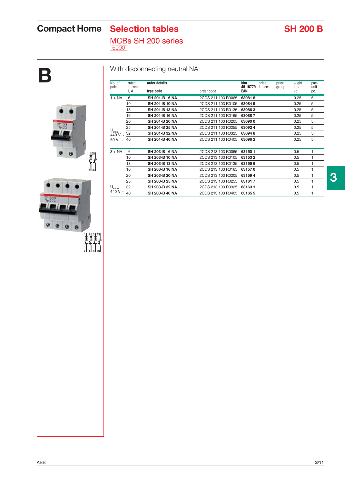# **Compact Home** Selection tables SH 200 B

MCBs SH 200 series 6000

# **B** No. of rated **order details bbn** price price w'ght pack. poles current **40 16779** 1 piece group 1 pc. unit I n  $\frac{1}{4}$ 440 V ~  $6$  $\begin{bmatrix} \mathbf{1} & \mathbf{1} & \mathbf{1} \\ \mathbf{1} & \mathbf{1} & \mathbf{1} \\ \mathbf{1} & \mathbf{1} & \mathbf{1} \\ \mathbf{1} & \mathbf{1} & \mathbf{1} \end{bmatrix}$ U<sub>Bmax</sub><br>440 V ~ 40 **SH 203-B 40 NA** 2CDS 213 103 R0405 **63165 5** 0.5 1  $\bullet$  $\alpha$  $\mathbf{0}$

### With disconnecting neutral NA

|                             | $I_n A$ | type code             | order code                 | $\cdot$ prove<br>.90cm<br>EAN | kg   | pc. |
|-----------------------------|---------|-----------------------|----------------------------|-------------------------------|------|-----|
| $1 + NA$                    | 6       | SH 201-B 6 NA         | 2CDS 211 103 R0065         | 630818                        | 0.25 | 5   |
|                             | 10      | SH 201-B 10 NA        | 2CDS 211 103 R0105         | 630849                        | 0.25 | 5   |
|                             | 13      | SH 201-B 13 NA        | 2CDS 211 103 R0135         | 630863                        | 0.25 | 5   |
|                             | 16      | SH 201-B 16 NA        | 2CDS 211 103 R0165         | 630887                        | 0.25 | 5   |
|                             | 20      | <b>SH 201-B 20 NA</b> | 2CDS 211 103 R0205         | 630900                        | 0.25 | 5   |
|                             | 25      | SH 201-B 25 NA        | 2CDS 211 103 R0255         | 630924                        | 0.25 | 5   |
| $U_{Bmax}$<br>440 V $\sim$  | 32      | SH 201-B 32 NA        | 2CDS 211 103 R0325         | 630948                        | 0.25 | 5   |
| 60 V $\pm$                  | 40      | SH 201-B 40 NA        | 2CDS 211 103 R0405         | 630962                        | 0.25 | 5   |
|                             |         |                       |                            |                               |      |     |
| $3 + NA$                    | 6       | SH 203-B 6 NA         | 2CDS 213 103 R0065         | 631501                        | 0.5  |     |
|                             | 10      | SH 203-B 10 NA        | 2CDS 213 103 R0105         | 631532                        | 0.5  |     |
|                             | 13      | SH 203-B 13 NA        | 2CDS 213 103 R0135         | 631556                        | 0.5  |     |
|                             | 16      | SH 203-B 16 NA        | 2CDS 213 103 R0165         | 631570                        | 0.5  |     |
|                             | 20      | SH 203-B 20 NA        | 2CDS 213 103 R0205         | 631594                        | 0.5  |     |
|                             | 25      | SH 203-B 25 NA        | 2CDS 213 103 R0255         | 631617                        | 0.5  |     |
| $\mathsf{H}_{\mathsf{max}}$ | 32      | SH 203-B 32 NA        | 2CDS 213 103 R0325 63163 1 |                               | 0.5  | 1   |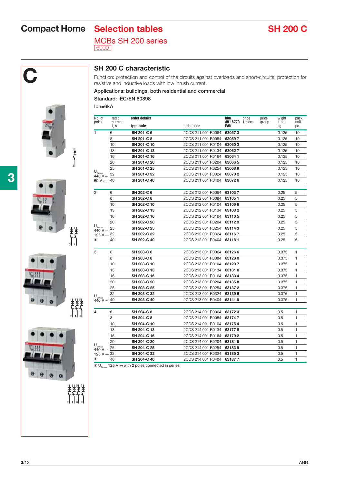# **Compact Home Selection tables SH 200 C**

MCBs SH 200 series 6000









**C SH 200 C characteristic**<br>Function: protection and control of<br>resistive and inductive loads with lo Function: protection and control of the circuits against overloads and short-circuits; protection for resistive and inductive loads with low inrush current.

#### **Applications: buildings, both residential and commercial**

**Standard: IEC/EN 60898**

**Icn=6kA**

| No. of                                       | rated               | order details |                    | bbn                     | price | price | w'ght                  | pack.        |
|----------------------------------------------|---------------------|---------------|--------------------|-------------------------|-------|-------|------------------------|--------------|
| poles                                        | current<br>$I_{n}A$ | type code     | order code         | 40 16779 1 piece<br>EAN |       | group | 1 <sub>pc.</sub><br>kq | unit<br>pc.  |
| 1.                                           | 6                   | SH 201-C 6    | 2CDS 211 001 R0064 | 630573                  |       |       | 0.125                  | 10           |
|                                              | 8                   | SH 201-C 8    | 2CDS 211 001 R0084 | 630597                  |       |       | 0.125                  | 10           |
|                                              | 10                  | SH 201-C 10   | 2CDS 211 001 R0104 | 630603                  |       |       | 0.125                  | 10           |
|                                              | 13                  | SH 201-C 13   | 2CDS 211 001 R0134 | 630627                  |       |       | 0.125                  | 10           |
|                                              | 16                  | SH 201-C 16   | 2CDS 211 001 R0164 | 630641                  |       |       | 0.125                  | 10           |
|                                              | 20                  | SH 201-C 20   | 2CDS 211 001 R0204 | 630665                  |       |       | 0.125                  | 10           |
|                                              | 25                  | SH 201-C 25   | 2CDS 211 001 R0254 | 630689                  |       |       | 0.125                  | 10           |
| $\mathsf{U}_{\mathsf{Bmax}}$<br>$440V \sim$  | 32                  | SH 201-C 32   | 2CDS 211 001 R0324 | 630702                  |       |       | 0.125                  | 10           |
| 60 V $\pm$                                   | 40                  | SH 201-C 40   | 2CDS 211 001 R0404 | 630726                  |       |       | 0.125                  | 10           |
| $\overline{2}$                               | 6                   | SH 202-C 6    | 2CDS 212 001 R0064 | 631037                  |       |       | 0.25                   | 5            |
|                                              | 8                   | SH 202-C 8    | 2CDS 212 001 R0084 | 631051                  |       |       | 0.25                   | 5            |
|                                              | 10                  | SH 202-C 10   | 2CDS 212 001 R0104 | 631068                  |       |       | 0.25                   | 5            |
|                                              | 13                  | SH 202-C 13   | 2CDS 212 001 R0134 | 631082                  |       |       | 0.25                   | 5            |
|                                              | 16                  | SH 202-C 16   | 2CDS 212 001 R0164 | 631105                  |       |       | 0.25                   | 5            |
|                                              | 20                  | SH 202-C 20   | 2CDS 212 001 R0204 | 631129                  |       |       | 0.25                   | 5            |
| $U_{Bmax}$                                   | 25                  | SH 202-C 25   | 2CDS 212 001 R0254 | 631143                  |       |       | 0.25                   | 5            |
| 440 V $\sim$<br>125 V $\frac{32}{1}$         |                     | SH 202-C 32   | 2CDS 212 001 R0324 | 631167                  |       |       | 0.25                   | 5            |
| $\circled{1}$                                | 40                  | SH 202-C 40   | 2CDS 212 001 R0404 | 631181                  |       |       | 0.25                   | 5            |
| 3                                            | 6                   | SH 203-C 6    | 2CDS 213 001 R0064 | 631266                  |       |       | 0.375                  | 1            |
|                                              | 8                   | SH 203-C 8    | 2CDS 213 001 R0084 | 631280                  |       |       | 0.375                  | 1            |
|                                              | 10                  | SH 203-C 10   | 2CDS 213 001 R0104 | 631297                  |       |       | 0.375                  | 1            |
|                                              | 13                  | SH 203-C 13   | 2CDS 213 001 R0134 | 631310                  |       |       | 0.375                  | 1            |
|                                              | 16                  | SH 203-C 16   | 2CDS 213 001 R0164 | 631334                  |       |       | 0.375                  | 1            |
|                                              | 20                  | SH 203-C 20   | 2CDS 213 001 R0204 | 631358                  |       |       | 0.375                  | 1            |
|                                              | 25                  | SH 203-C 25   | 2CDS 213 001 R0254 | 631372                  |       |       | 0.375                  | 1            |
|                                              | 32                  | SH 203-C 32   | 2CDS 213 001 R0324 | 631396                  |       |       | 0.375                  | 1            |
| $U_{\text{Bmax}}$<br>$440 \text{ V} \sim 40$ |                     | SH 203-C 40   | 2CDS 213 001 R0404 | 631419                  |       |       | 0.375                  | 1            |
| 4                                            | 6                   | SH 204-C 6    | 2CDS 214 001 R0064 | 631723                  |       |       | 0.5                    | 1            |
|                                              | 8                   | SH 204-C 8    | 2CDS 214 001 R0084 | 631747                  |       |       | 0.5                    | 1            |
|                                              | 10                  | SH 204-C 10   | 2CDS 214 001 R0104 | 631754                  |       |       | 0.5                    | 1            |
|                                              | 13                  | SH 204-C 13   | 2CDS 214 001 R0134 | 631778                  |       |       | 0.5                    | 1            |
|                                              | 16                  | SH 204-C 16   | 2CDS 214 001 R0164 | 631792                  |       |       | 0.5                    | 1            |
|                                              | 20                  | SH 204-C 20   | 2CDS 214 001 R0204 | 631815                  |       |       | 0.5                    | 1            |
| $U_{_{\text{Bmax}}}$                         | 25                  | SH 204-C 25   | 2CDS 214 001 R0254 | 631839                  |       |       | 0.5                    | 1            |
| 440 V ~<br>125 V $\frac{32}{1}$              |                     | SH 204-C 32   | 2CDS 214 001 R0324 | 631853                  |       |       | 0.5                    | 1            |
| $\circled{1}$                                | 40                  | SH 204-C 40   | 2CDS 214 001 R0404 | 631877                  |       |       | 0.5                    | $\mathbf{1}$ |
|                                              |                     |               |                    |                         |       |       |                        |              |

 $\overline{\textcircled{\;} U_{\text{Rmax}}}$  125 V ... with 2 poles connected in series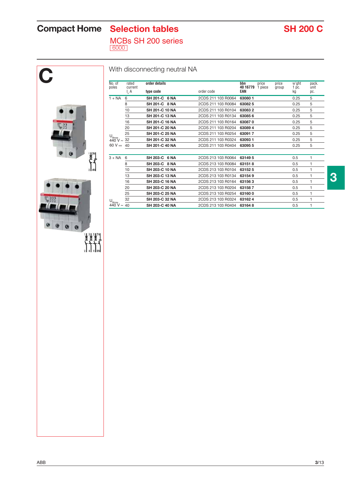# **Compact Home** Selection tables SH 200 C

MCBs SH 200 series 6000

# **C** I n  $\mathsf{U}_{_{\mathsf{Bmax}}}$ 440 V ~ 60 V  $=$  $\begin{bmatrix} 1 & 3N \\ 1 & 3N \end{bmatrix}$  $\mathsf{U}_{_{\mathsf{Bmax}}}$ 440 V ~ ø  $P$  $\alpha$  $\begin{array}{c}\nT_{31}^{31} \\
T_{41}^{31} \\
T_{51}^{31} \\
T_{61}^{31} \\
T_{71}^{31} \\
T_{81}^{31}\n\end{array}$

### With disconnecting neutral NA

| No. of<br>poles                       |          | rated<br>order details<br>current |                    | bbn<br>price<br>price<br>40 16779<br>1 piece<br>group | w'ght<br>1 pc. | pack.<br>unit |
|---------------------------------------|----------|-----------------------------------|--------------------|-------------------------------------------------------|----------------|---------------|
|                                       | $I_{n}A$ | type code                         | order code         | EAN                                                   | kg             | pc.           |
| $1 + NA$                              | 6        | SH 201-C 6 NA                     | 2CDS 211 103 R0064 | 630801                                                | 0.25           | 5             |
|                                       | 8        | SH 201-C 8 NA                     | 2CDS 211 103 R0084 | 630825                                                | 0.25           | 5             |
|                                       | 10       | SH 201-C 10 NA                    | 2CDS 211 103 R0104 | 630832                                                | 0.25           | 5             |
|                                       | 13       | SH 201-C 13 NA                    | 2CDS 211 103 R0134 | 630856                                                | 0.25           | 5             |
|                                       | 16       | SH 201-C 16 NA                    | 2CDS 211 103 R0164 | 630870                                                | 0.25           | 5             |
|                                       | 20       | SH 201-C 20 NA                    | 2CDS 211 103 R0204 | 630894                                                | 0.25           | 5             |
|                                       | 25       | SH 201-C 25 NA                    | 2CDS 211 103 R0254 | 630917                                                | 0.25           | 5             |
| $U_{Bmax}$<br>$440 \text{ V} \sim 32$ |          | SH 201-C 32 NA                    | 2CDS 211 103 R0324 | 630931                                                | 0.25           | 5             |
| 60 V $\pm$                            | 40       | SH 201-C 40 NA                    | 2CDS 211 103 R0404 | 630955                                                | 0.25           | 5             |
| $3 + NA$                              | 6        | SH 203-C 6 NA                     | 2CDS 213 103 R0064 | 631495                                                | 0.5            | 1             |
|                                       | 8        | SH 203-C 8 NA                     | 2CDS 213 103 R0084 | 631518                                                | 0.5            | 1             |
|                                       | 10       | SH 203-C 10 NA                    | 2CDS 213 103 R0104 | 631525                                                | 0.5            | 1             |
|                                       | 13       | <b>SH 203-C 13 NA</b>             | 2CDS 213 103 R0134 | 631549                                                | 0.5            | 1             |
|                                       | 16       | SH 203-C 16 NA                    | 2CDS 213 103 R0164 | 631563                                                | 0.5            | 1             |
|                                       | 20       | SH 203-C 20 NA                    | 2CDS 213 103 R0204 | 631587                                                | 0.5            | 1             |
|                                       | 25       | SH 203-C 25 NA                    | 2CDS 213 103 R0254 | 631600                                                | 0.5            | 1             |
| $U_{Bmax}$                            | 32       | SH 203-C 32 NA                    | 2CDS 213 103 R0324 | 631624                                                | 0.5            | 1             |
| 440 V $\sim$                          | 40       | SH 203-C 40 NA                    | 2CDS 213 103 R0404 | 631648                                                | 0.5            | 1             |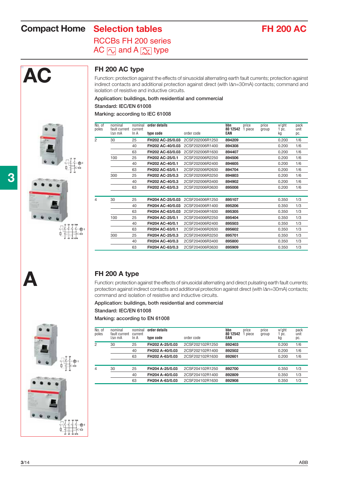# **Compact Home** Selection tables **FH 200 AC**

## RCCBs FH 200 series AC  $\boxed{\sim}$  and A  $\boxed{\sim}$  type



### **FH 200 AC type**

Function: protection against the effects of sinusoidal alternating earth fault currents; protection against indirect contacts and additional protection against direct (with IAn=30mA) contacts; command and isolation of resistive and inductive circuits.

**Application: buildings, both residential and commercial**

**Standard: IEC/EN 61008**

#### **Marking: according to IEC 61008**

| No. of<br>poles | nominal<br>fault current | nominal<br>current | order details    |                 | bbn<br>80 12542 | price<br>1 piece | price<br>group | w'ght<br>1 pc. | pack<br>unit |
|-----------------|--------------------------|--------------------|------------------|-----------------|-----------------|------------------|----------------|----------------|--------------|
|                 | $\Delta n$ mA            | In A               | type code        | order code      | EAN             |                  |                | kg             | DC.          |
| 2               | 30                       | 25                 | FH202 AC-25/0.03 | 2CSF202006R1250 | 894209          |                  |                | 0.200          | 1/6          |
|                 |                          | 40                 | FH202 AC-40/0.03 | 2CSF202006R1400 | 894308          |                  |                | 0.200          | 1/6          |
|                 |                          | 63                 | FH202 AC-63/0.03 | 2CSF202006R1630 | 894407          |                  |                | 0.200          | 1/6          |
|                 | 100                      | 25                 | FH202 AC-25/0.1  | 2CSF202006R2250 | 894506          |                  |                | 0.200          | 1/6          |
|                 |                          | 40                 | FH202 AC-40/0.1  | 2CSF202006R2400 | 894605          |                  |                | 0.200          | 1/6          |
|                 |                          | 63                 | FH202 AC-63/0.1  | 2CSF202006R2630 | 894704          |                  |                | 0.200          | 1/6          |
|                 | 300                      | 25                 | FH202 AC-25/0.3  | 2CSF202006R3250 | 894803          |                  |                | 0.200          | 1/6          |
|                 |                          | 40                 | FH202 AC-40/0.3  | 2CSF202006R3400 | 894902          |                  |                | 0.200          | 1/6          |
|                 |                          | 63                 | FH202 AC-63/0.3  | 2CSF202006R3630 | 895008          |                  |                | 0.200          | 1/6          |
|                 |                          |                    |                  |                 |                 |                  |                |                |              |
| 4               | 30                       | 25                 | FH204 AC-25/0.03 | 2CSF204006R1250 | 895107          |                  |                | 0.350          | 1/3          |
|                 |                          | 40                 | FH204 AC-40/0.03 | 2CSF204006R1400 | 895206          |                  |                | 0.350          | 1/3          |
|                 |                          | 63                 | FH204 AC-63/0.03 | 2CSF204006R1630 | 895305          |                  |                | 0.350          | 1/3          |
|                 | 100                      | 25                 | FH204 AC-25/0.1  | 2CSF204006R2250 | 895404          |                  |                | 0.350          | 1/3          |
|                 |                          | 40                 | FH204 AC-40/0.1  | 2CSF204006R2400 | 895503          |                  |                | 0.350          | 1/3          |
|                 |                          | 63                 | FH204 AC-63/0.1  | 2CSF204006R2630 | 895602          |                  |                | 0.350          | 1/3          |
|                 | 300                      | 25                 | FH204 AC-25/0.3  | 2CSF204006R3250 | 895701          |                  |                | 0.350          | 1/3          |
|                 |                          | 40                 | FH204 AC-40/0.3  | 2CSF204006R3400 | 895800          |                  |                | 0.350          | 1/3          |
|                 |                          | 63                 | FH204 AC-63/0.3  | 2CSF204006R3630 | 895909          |                  |                | 0.350          | 1/3          |

#### **FH 200 A type**

Function: protection against the effects of sinusoidal alternating and direct pulsating earth fault currents; protection against indirect contacts and additional protection against direct (with  $\Delta n=30$ mA) contacts; command and isolation of resistive and inductive circuits.

**Application: buildings, both residential and commercial Standard: IEC/EN 61008**

#### **Marking: according to EN 61008**

| No. of<br>poles | nominal<br>fault current<br>IAn mA | nominal<br>current<br>In A | order details<br>type code | order code      | bbn<br>80 12542<br>EAN | price<br>piece | price<br>group | w'ght<br>pc.<br>kg | pack<br>unit<br>DC. |
|-----------------|------------------------------------|----------------------------|----------------------------|-----------------|------------------------|----------------|----------------|--------------------|---------------------|
|                 |                                    |                            |                            |                 |                        |                |                |                    |                     |
| 2               | 30                                 | 25                         | FH202 A-25/0.03            | 2CSF202102R1250 | 892403                 |                |                | 0.200              | 1/6                 |
|                 |                                    | 40                         | FH202 A-40/0.03            | 2CSF202102R1400 | 892502                 |                |                | 0.200              | 1/6                 |
|                 |                                    | 63                         | FH202 A-63/0.03            | 2CSF202102R1630 | 892601                 |                |                | 0.200              | 1/6                 |
|                 |                                    |                            |                            |                 |                        |                |                |                    |                     |
| 4               | 30                                 | 25                         | FH204 A-25/0.03            | 2CSF204102R1250 | 892700                 |                |                | 0.350              | 1/3                 |
|                 |                                    | 40                         | FH204 A-40/0.03            | 2CSF204102R1400 | 892809                 |                |                | 0.350              | 1/3                 |
|                 |                                    | 63                         | FH204 A-63/0.03            | 2CSF204102R1630 | 892908                 |                |                | 0.350              | 1/3                 |
|                 |                                    |                            |                            |                 |                        |                |                |                    |                     |



**A**



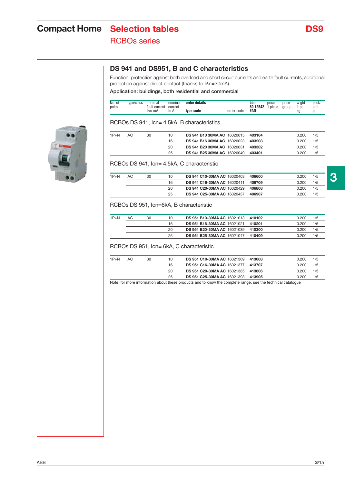# **Compact Home** Selection tables **DS9** RCBOs series

### **DS 941 and DS951, B and C characteristics**

Function: protection against both overload and short circuit currents and earth fault currents; additional protection against direct contact (thanks to  $\Delta n=30$ mA)

**Application: buildings, both residential and commercial**

| No. of<br>poles | 1000c<br>vpe.<br>'CidSS | nominal<br>current<br>tault | nomina<br>current | details<br>nrder |            | bbn<br>80 12542 | price<br>piece | price<br>aroup | w'aht<br>DC. | pack.<br>unit |
|-----------------|-------------------------|-----------------------------|-------------------|------------------|------------|-----------------|----------------|----------------|--------------|---------------|
|                 |                         | ∆n mA                       | in A              | tvne code        | order code | EAN             |                |                | kс           | pc.           |

#### RCBOs DS 941, Icn= 4.5kA, B characteristics

| $1P + N$ | AC | 30 | 10 | <b>DS 941 B10 30MA AC 16020015</b> | 403104 | 0.200 | 1/5 |
|----------|----|----|----|------------------------------------|--------|-------|-----|
|          |    |    | 16 | <b>DS 941 B16 30MA AC 16020023</b> | 403203 | 0.200 | 1/5 |
|          |    |    | 20 | <b>DS 941 B20 30MA AC 16020031</b> | 403302 | 0.200 | 1/5 |
|          |    |    | 25 | <b>DS 941 B25 30MA AC 16020049</b> | 403401 | 0.200 | 1/5 |

#### RCBOs DS 941, Icn= 4.5kA, C characteristic

| $1P+N$ | AC | 30 | 10 | <b>DS 941 C10-30MA AC 16020403</b> | 406600 | 0.200 | 1/5 |  |
|--------|----|----|----|------------------------------------|--------|-------|-----|--|
|        |    |    | 16 | <b>DS 941 C16-30MA AC 16020411</b> | 406709 | 0.200 | 1/5 |  |
|        |    |    | 20 | <b>DS 941 C20-30MA AC 16020429</b> | 406808 | 0.200 | 1/5 |  |
|        |    |    | 25 | <b>DS 941 C25-30MA AC 16020437</b> | 406907 | 0.200 | 1/5 |  |
|        |    |    |    |                                    |        |       |     |  |

#### RCBOs DS 951, Icn=6kA, B characteristic

| $1P + N$ | AC | 30 | 10 | DS 951 B10-30MA AC 16021013 410102 |        | 0.200 | 1/5 |
|----------|----|----|----|------------------------------------|--------|-------|-----|
|          |    |    | 16 | <b>DS 951 B16-30MA AC 16021021</b> | 410201 | 0.200 | 1/5 |
|          |    |    | 20 | <b>DS 951 B20-30MA AC 16021039</b> | 410300 | 0.200 | 1/5 |
|          |    |    | 25 | <b>DS 951 B25-30MA AC 16021047</b> | 410409 | 0.200 | 1/5 |

RCBOs DS 951, Icn= 6kA, C characteristic

| $1P+N$ | AC | 30 | 10 | <b>DS 951 C10-30MA AC 16021369</b> | 413608 | 0.200 | 1/5 |
|--------|----|----|----|------------------------------------|--------|-------|-----|
|        |    |    | 16 | DS 951 C16-30MA AC 16021377 413707 |        | 0.200 | 1/5 |
|        |    |    | 20 | DS 951 C20-30MA AC 16021385 413806 |        | 0.200 | 1/5 |
|        |    |    | 25 | DS 951 C25-30MA AC 16021393 413905 |        | 0.200 | 1/5 |
|        |    |    |    |                                    |        |       |     |

Note: for more information about these products and to know the complete range, see the technical catalogue

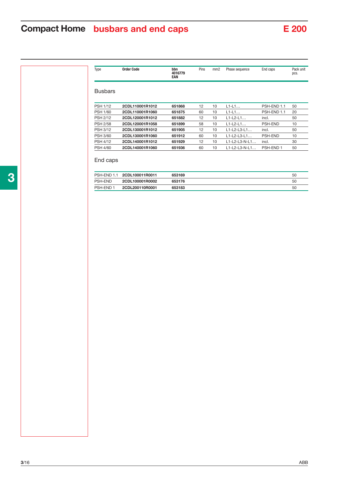# **Compact Home busbars and end caps** E 200

| Type            | <b>Order Code</b> | bbn<br>4016779<br>EAN | Pins | mm2 | Phase sequence          | End caps    | Pack unit<br>pcs. |
|-----------------|-------------------|-----------------------|------|-----|-------------------------|-------------|-------------------|
| <b>Busbars</b>  |                   |                       |      |     |                         |             |                   |
| <b>PSH 1/12</b> | 2CDL110001R1012   | 651868                | 12   | 10  | $L1-L1$                 | PSH-END 1.1 | 50                |
| <b>PSH 1/60</b> | 2CDL110001R1060   | 651875                | 60   | 10  | $L1-L1$                 | PSH-END 1.1 | 20                |
| <b>PSH 2/12</b> | 2CDL120001R1012   | 651882                | 12   | 10  | $L1-L2-L1$              | incl.       | 50                |
| <b>PSH 2/58</b> | 2CDL120001R1058   | 651899                | 58   | 10  | $L1-L2-L1$              | PSH-END     | 10                |
| <b>PSH 3/12</b> | 2CDL130001R1012   | 651905                | 12   | 10  | $L1 - L2 - L3 - L1$     | incl.       | 50                |
| <b>PSH 3/60</b> | 2CDL130001R1060   | 651912                | 60   | 10  | $L1-L2-L3-L1$           | PSH-END     | 10                |
| <b>PSH 4/12</b> | 2CDL140001R1012   | 651929                | 12   | 10  | $L1 - L2 - L3 - N - L1$ | incl.       | 30                |
| <b>PSH 4/60</b> | 2CDL140001R1060   | 651936                | 60   | 10  | $L1-L2-L3-N-L1$         | PSH-END 1   | 50                |
|                 |                   |                       |      |     |                         |             |                   |

#### End caps

|           | PSH-END 1.1 2CDL100011R0011 | 653169 | 50 |
|-----------|-----------------------------|--------|----|
| PSH-END   | 2CDL100001R0002             | 653176 | 50 |
| PSH-END 1 | 2CDL200110R0001             | 653183 | 50 |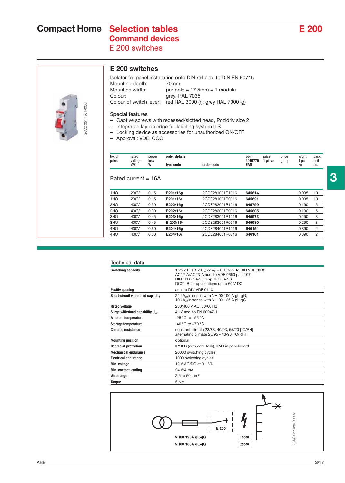# **Compact Home** Selection tables **E 200 Command devices**

E 200 switches



### **E 200 switches**

Isolator for panel installation onto DIN rail acc. to DIN EN 60715 Mounting depth: 70mm<br>Mounting width: per pol per pole =  $17.5$ mm = 1 module Colour: grey, RAL 7035 Colour of switch lever: red RAL 3000 (r); grey RAL 7000 (g)

#### **Special features**

- Captive screws with recessed/slotted head, Pozidriv size 2
- Integrated lay-on edge for labeling system ILS
- Locking device as accessories for unauthorized ON/OFF
- Approval: VDE, CCC

| No. of<br>poles | rated          | power | order details |            | bbn<br>4016779 | price<br>piece | price | w'ght     | pack.<br>unit |
|-----------------|----------------|-------|---------------|------------|----------------|----------------|-------|-----------|---------------|
|                 | voltage<br>VAC | loss  | type code     | order code | EAN            |                | group | DC.<br>kg | DC.           |
|                 |                |       |               |            |                |                |       |           |               |

#### Rated current = 16A

| 1 <sub>NO</sub> | 230V | 0.15 | E201/16g  | 2CDE281001R1016 | 645614 | 0.095 | 10             |
|-----------------|------|------|-----------|-----------------|--------|-------|----------------|
| 1NO             | 230V | 0.15 | E201/16r  | 2CDE281001R0016 | 645621 | 0.095 | 10             |
| 2NO             | 400V | 0.30 | E202/16g  | 2CDE282001R1016 | 645799 | 0.190 | 5              |
| 2NO             | 400V | 0.30 | E202/16r  | 2CDE282001R0016 | 645805 | 0.190 | 5              |
| 3NO             | 400V | 0.45 | E203/16g  | 2CDE283001R1016 | 645973 | 0.290 | 3              |
| 3NO             | 400V | 0.45 | E 203/16r | 2CDE283001R0016 | 645980 | 0.290 | 3              |
| 4NO             | 400V | 0.60 | E204/16g  | 2CDE284001R1016 | 646154 | 0.390 | $\overline{2}$ |
| 4NO             | 400V | 0.60 | E204/16r  | 2CDE284001R0016 | 646161 | 0.390 | 2              |
|                 |      |      |           |                 |        |       |                |

| Technical data                              |                                                                                                                                                                                                               |
|---------------------------------------------|---------------------------------------------------------------------------------------------------------------------------------------------------------------------------------------------------------------|
| <b>Switching capacity</b>                   | 1.25 x l <sub>n</sub> ; 1.1 x U <sub>n</sub> ; cos $\varphi$ = 03 acc. to DIN VDE 0632<br>AC22-A/AC23-A acc. to VDE 0660 part 107,<br>DIN EN 60947-3 resp. IEC 947-3<br>DC21-B for applications up to 60 V DC |
| <b>Positiv opening</b>                      | acc. to DIN VDE 0113                                                                                                                                                                                          |
| <b>Short-circuit withstand capacity</b>     | 24 kA <sub>eff</sub> in series with NH 00 100 A gL-gG;<br>10 kA <sub>eff</sub> in series with NH 00 125 A gL-gG                                                                                               |
| <b>Rated voltage</b>                        | 230/400 V AC; 50/60 Hz                                                                                                                                                                                        |
| Surge withstand capability $U_{\text{inn}}$ | 4 kV acc. to EN 60947-1                                                                                                                                                                                       |
| <b>Ambient temperature</b>                  | $-25$ °C to $+55$ °C                                                                                                                                                                                          |
| <b>Storage temperature</b>                  | $-40$ °C to $+70$ °C                                                                                                                                                                                          |
| <b>Climatic resistance</b>                  | constant climate 23/83, 40/93, 55/20 [°C/RH]<br>alternating climate 25/95 - 40/93 [°C/RH]                                                                                                                     |
| <b>Mounting position</b>                    | optional                                                                                                                                                                                                      |
| Degree of protection                        | IP10 B (with add. task), IP40 in panelboard                                                                                                                                                                   |
| <b>Mechanical endurance</b>                 | 20000 switching cycles                                                                                                                                                                                        |
| <b>Electrical endurance</b>                 | 1000 switching cycles                                                                                                                                                                                         |
| Min. voltage                                | 12 V AC/DC at 0.1 VA                                                                                                                                                                                          |
| Min. contact loading                        | 24 V/4 mA                                                                                                                                                                                                     |
| Wire range                                  | 2.5 to 50 mm <sup>2</sup>                                                                                                                                                                                     |
| <b>Torque</b>                               | 5 Nm                                                                                                                                                                                                          |



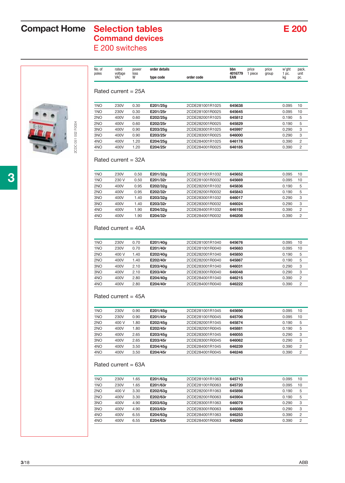# **Compact Home** Selection tables **E 200 Command devices**

E 200 switches



| No. of<br>poles | rated<br>voltage<br>VAC | power<br>loss | order details<br>type code | order code | bbn<br>4016779<br>EAN | price<br>piece | price<br>group | w'ght<br>DC.<br>kc | pack.<br>unit<br>pc. |
|-----------------|-------------------------|---------------|----------------------------|------------|-----------------------|----------------|----------------|--------------------|----------------------|
|                 |                         |               |                            |            |                       |                |                |                    |                      |

#### Rated current = 25A

| 1 <sub>NO</sub> | 230V | 0.30 | E201/25g | 2CDE281001R1025 | 645638 | 0.095 | 10             |
|-----------------|------|------|----------|-----------------|--------|-------|----------------|
| 1 <sub>NO</sub> | 230V | 0.30 | E201/25r | 2CDE281001R0025 | 645645 | 0.095 | 10             |
| 2NO             | 400V | 0.60 | E202/25a | 2CDE282001R1025 | 645812 | 0.190 | 5              |
| 2 <sub>NO</sub> | 400V | 0.60 | E202/25r | 2CDE282001R0025 | 645829 | 0.190 | 5              |
| 3NO             | 400V | 0.90 | E203/25a | 2CDE283001R1025 | 645997 | 0.290 | 3              |
| 3 <sub>NO</sub> | 400V | 0.90 | E203/25r | 2CDE283001R0025 | 646000 | 0.290 | 3              |
| 4 <sub>NO</sub> | 400V | 1.20 | E204/25g | 2CDE284001R1025 | 646178 | 0.390 | $\overline{2}$ |
| 4 <sub>NO</sub> | 400V | 1.20 | E204/25r | 2CDE284001R0025 | 646185 | 0.390 | 2              |

#### Rated current = 32A

| 1 <sub>NO</sub> | 230V  | 0.50 | E201/32g | 2CDE281001R1032 | 645652 | 0.095 | 10             |
|-----------------|-------|------|----------|-----------------|--------|-------|----------------|
| 1NO             | 230 V | 0.50 | E201/32r | 2CDE281001R0032 | 645669 | 0.095 | 10             |
| 2NO             | 400V  | 0.95 | E202/32g | 2CDE282001R1032 | 645836 | 0.190 | 5              |
| 2NO             | 400V  | 0.95 | E202/32r | 2CDE282001R0032 | 645843 | 0.190 | 5              |
| 3NO             | 400V  | 1.40 | E203/32g | 2CDE283001R1032 | 646017 | 0.290 | 3              |
| 3NO             | 400V  | 1.40 | E203/32r | 2CDE283001R0032 | 646024 | 0.290 | 3              |
| 4NO             | 400V  | 1.90 | E204/32g | 2CDE284001R1032 | 646192 | 0.390 | $\overline{2}$ |
| 4NO             | 400V  | 1.90 | E204/32r | 2CDE284001R0032 | 646208 | 0.390 | 2              |
|                 |       |      |          |                 |        |       |                |

#### Rated current = 40A

| 1 <sub>NO</sub> | 230V  | 0.70 | E201/40g | 2CDE281001R1040 | 645676 | 0.095 | 10 |
|-----------------|-------|------|----------|-----------------|--------|-------|----|
| 1NO             | 230V  | 0.70 | E201/40r | 2CDE281001R0040 | 645683 | 0.095 | 10 |
| 2 <sub>NO</sub> | 400 V | 1.40 | E202/40g | 2CDE282001R1040 | 645850 | 0.190 | 5  |
| 2NO             | 400V  | 1.40 | E202/40r | 2CDE282001R0040 | 645867 | 0.190 | 5  |
| 3 <sub>NO</sub> | 400V  | 2.10 | E203/40g | 2CDE283001R1040 | 646031 | 0.290 | 3  |
| 3 <sub>NO</sub> | 400V  | 2.10 | E203/40r | 2CDE283001R0040 | 646048 | 0.290 | 3  |
| 4 <sub>NO</sub> | 400V  | 2.80 | E204/40a | 2CDE284001R1040 | 646215 | 0.390 | 2  |
| 4 <sub>NO</sub> | 400V  | 2.80 | E204/40r | 2CDE284001R0040 | 646222 | 0.390 | 2  |
|                 |       |      |          |                 |        |       |    |

#### Rated current = 45A

| 1 <sub>NO</sub> | 230V  | 0.90 | E201/45g | 2CDE281001R1045 | 645690 | 0.095 | 10 |
|-----------------|-------|------|----------|-----------------|--------|-------|----|
| 1 <sub>NO</sub> | 230V  | 0.90 | E201/45r | 2CDE281001R0045 | 645706 | 0.095 | 10 |
| 2 <sub>NO</sub> | 400 V | 1.80 | E202/45g | 2CDE282001R1045 | 645874 | 0.190 | 5  |
| 2 <sub>NO</sub> | 400V  | 1.80 | E202/45r | 2CDE282001R0045 | 645881 | 0.190 | 5  |
| 3NO             | 400V  | 2.65 | E203/45g | 2CDE283001R1045 | 646055 | 0.290 | 3  |
| 3 <sub>NO</sub> | 400V  | 2.65 | E203/45r | 2CDE283001R0045 | 646062 | 0.290 | 3  |
| 4NO             | 400V  | 3.50 | E204/45a | 2CDE284001R1045 | 646239 | 0.390 | 2  |
| 4NO             | 400V  | 3.50 | E204/45r | 2CDE284001R0045 | 646246 | 0.390 | 2  |

#### Rated current = 63A

| 1 <sub>NO</sub> | 230V  | 1.65 | E201/63g | 2CDE281001R1063 | 645713 | 0.095 | 10             |
|-----------------|-------|------|----------|-----------------|--------|-------|----------------|
| 1 <sub>NO</sub> | 230V  | 1.65 | E201/63r | 2CDE281001R0063 | 645720 | 0.095 | 10             |
| 2 <sub>NO</sub> | 400 V | 3.30 | E202/63g | 2CDE282001R1063 | 645898 | 0.190 | 5              |
| 2 <sub>NO</sub> | 400V  | 3.30 | E202/63r | 2CDE282001R0063 | 645904 | 0.190 | 5              |
| 3NO             | 400V  | 4.90 | E203/63g | 2CDE283001R1063 | 646079 | 0.290 | 3              |
| 3 <sub>NO</sub> | 400V  | 4.90 | E203/63r | 2CDE283001R0063 | 646086 | 0.290 | 3              |
| 4 <sub>NO</sub> | 400V  | 6.55 | E204/63g | 2CDE284001R1063 | 646253 | 0.390 | $\overline{2}$ |
| 4 <sub>NO</sub> | 400V  | 6.55 | E204/63r | 2CDE284001R0063 | 646260 | 0.390 | 2              |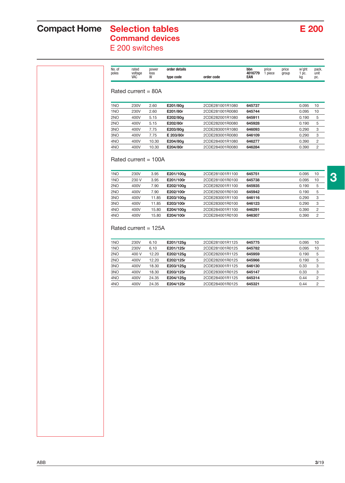## **Compact Home Selection tables E 200 Command devices**

E 200 switches

| poles           | voltage<br>VAC         | loss<br>W    | type code              | order code                         | 4016779<br>EAN   | 1 piece<br>group | 1 pc.<br>kq    | unit<br>pc.    |
|-----------------|------------------------|--------------|------------------------|------------------------------------|------------------|------------------|----------------|----------------|
|                 | Rated current $= 80A$  |              |                        |                                    |                  |                  |                |                |
| 1 <sub>NO</sub> | 230V                   | 2.60         | E201/80g               | 2CDE281001R1080                    | 645737           |                  | 0.095          | 10             |
| 1 <sub>NO</sub> | 230V                   | 2.60         | E201/80r               | 2CDE281001R0080                    | 645744           |                  | 0.095          | 10             |
| 2NO             | 400V                   | 5.15         | E202/80g               | 2CDE282001R1080                    | 645911           |                  | 0.190          | 5              |
| 2NO             | 400V                   | 5.15         | E202/80r               | 2CDE282001R0080                    | 645928           |                  | 0.190          | 5              |
| 3NO             | 400V                   | 7.75         | E203/80g               | 2CDE283001R1080                    | 646093           |                  | 0.290          | 3              |
| 3NO             | 400V                   | 7.75         | E 203/80r              | 2CDE283001R0080                    | 646109           |                  | 0.290          | 3              |
| 4NO             | 400V                   | 10.30        | E204/80g               | 2CDE284001R1080                    | 646277           |                  | 0.390          | 2              |
| 4NO             | 400V                   | 10.30        | E204/80r               | 2CDE284001R0080                    | 646284           |                  | 0.390          | $\overline{c}$ |
| 1NO             | 230V<br>230 V          | 3.95<br>3.95 | E201/100g<br>E201/100r | 2CDE281001R1100<br>2CDE281001R0100 | 645751<br>645738 |                  | 0.095<br>0.095 | 10             |
|                 | Rated current $= 100A$ |              |                        |                                    |                  |                  |                |                |
| 1 <sub>NO</sub> |                        |              |                        |                                    |                  |                  |                | 10             |
| 2NO             | 400V                   | 7.90         | E202/100g              | 2CDE282001R1100                    | 645935           |                  | 0.190          | 5              |
| 2NO             | 400V                   | 7.90         | E202/100r              | 2CDE282001R0100                    | 645942           |                  | 0.190          | 5              |
| 3NO             | 400V                   | 11.85        | E203/100g              | 2CDE283001R1100                    | 646116           |                  | 0.290          | 3              |
| 3NO             | 400V                   | 11.85        | E203/100r              | 2CDE283001R0100                    | 646123           |                  | 0.290          | 3              |
| 4NO             | 400V                   | 15.80        | E204/100g              | 2CDE284001R1100                    | 646291           |                  | 0.390          | 2              |
| 4NO             | 400V                   | 15.80        | E204/100r              | 2CDE284001R0100                    | 646307           |                  | 0.390          | $\overline{c}$ |
|                 | Rated current $= 125A$ |              |                        |                                    |                  |                  |                |                |
| 1NO             | 230V                   | 6.10         | E201/125g              | 2CDE281001R1125                    | 645775           |                  | 0.095          | 10             |
| 1 <sub>NO</sub> | 230V                   | 6.10         | E201/125r              | 2CDE281001R0125                    | 645782           |                  | 0.095          | 10             |
| 2NO             | 400 V                  | 12.20        | E202/125g              | 2CDE282001R1125                    | 645959           |                  | 0.190          | 5              |
| 2NO             | 400V                   | 12.20        | E202/125r              | 2CDE282001R0125                    | 645966           |                  | 0.190          | 5              |
| 3NO             | 400V                   | 18.30        | E203/125g              | 2CDE283001R1125                    | 646130           |                  | 0.33           | 3              |
| 3NO             | 400V                   | 18.30        | E203/125r              | 2CDE283001R0125                    | 645147           |                  | 0.33           | 3              |
| 4NO             | 400V                   | 24.35        | E204/125g              | 2CDE284001R1125                    | 645314           |                  | 0.44           | 2              |

4NO 400V 24.35 **E204/125r** 2CDE284001R0125 **645321** 0.44 2

No. of rated power **order details bbn** price price w'ght pack.

**3**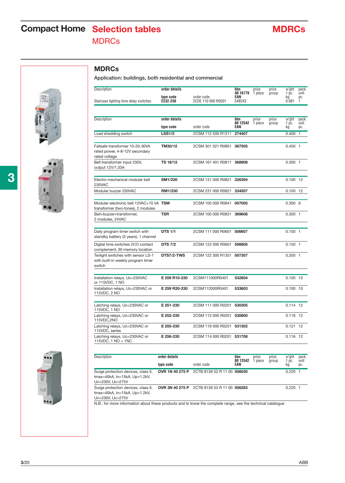# **Compact Home** Selection tables MDRCs **MDRCs**

**MDRCs**

**Application: buildings, both residential and commercial**







| Staircase lighting time delay switches                                             | type code<br>E232-230 | order code<br>2CDE 110 000 R0501 | EAN<br>548243   |         |       | kg<br>0.081   | pc.<br>1       |
|------------------------------------------------------------------------------------|-----------------------|----------------------------------|-----------------|---------|-------|---------------|----------------|
| Description                                                                        | order details         |                                  | bbn             | price   | price | w'ght         | pack.          |
|                                                                                    | type code             | order code                       | 80 12542<br>EAN | 1 piece | group | $1$ pc.<br>kg | unit<br>pc.    |
| Load shedding switch                                                               | <b>LSS1/2</b>         | 2CSM 112 500 R1311               | 274407          |         |       | 0.400         | $\overline{1}$ |
| Failsafe transformer 10-20-30VA<br>rated power, 4-8-12V secondary<br>rated voltage | TM30/12               | 2CSM 301 021 R0801               | 367505          |         |       | $0.450$ 1     |                |
| Bell transformer input 230V,<br>output 12V/1.33A                                   | TS 16/12              | 2CSM 161 401 R0811               | 368908          |         |       | $0.300$ 1     |                |
| Electro-mechanical modular bell<br>230VAC                                          | SM1/230               | 2CSM 131 000 R0821               | 326304          |         |       | $0.100$ 12    |                |
| Modular buzzer 230VAC                                                              | RM1/230               | 2CSM 231 000 R0821               | 334507          |         |       | 0.100         | 12             |
| Modular electronic bell 12VAC+10 VA TSM<br>transformer (two-tones), 2 modules      |                       | 2CSM 100 000 R0841               | 007005          |         |       | 0.3006        |                |
| Bell+buzzer+transformer,<br>2 modules, 24VAC                                       | TSR                   | 2CSM 100 000 R0831               | 369608          |         |       | $0.300$ 1     |                |
| Daily program timer switch with<br>standby battery (3 years), 1 channel            | <b>DTS 1/1</b>        | 2CSM 111 000 R0601               | 506607          |         |       | $0.150$ 1     |                |
| Digital time switches 2CO contact<br>complement, 30 memory location                | <b>DTS 7/2</b>        | 2CSM 122 000 R0601               | 506805          |         |       | $0.150$ 1     |                |
| Twilight switches with sensor LS-1<br>with built-in weekly program timer<br>switch | <b>DTS7/2-TWS</b>     | 2CSM 122 300 R1351               | 507307          |         |       | $0,350$ 1     |                |
| Installation relays, Uc=230VAC<br>or 115VDC, 1 NO                                  | E 259 R10-230         | 2CSM111000R0401                  | 532804          |         |       | $0.100$ 10    |                |
| Installation relays, Uc=230VAC or<br>115VDC, 2 NO                                  | E 259 R20-230         | 2CSM112000R0401                  | 533603          |         |       | $0.100$ 10    |                |
| Latching relays, Uc=230VAC or<br>115VDC, 1 NO                                      | E 251-230             | 2CSM 111 000 R0201               | 530305          |         |       | $0.114$ 12    |                |
| Latching relays, Uc=230VAC or<br>115VDC,2NO                                        | E 252-230             | 2CSM 112 000 R0201               | 530800          |         |       | 0.116 12      |                |
| Latching relays, Uc=230VAC or<br>115VDC, series                                    | E 255-230             | 2CSM 119 000 R0201               | 531302          |         |       | 0.121         | 12             |
| Latching relays, Uc=230VAC or<br>115VDC, 1 NO + 1NC                                | E 256-230             | 2CSM 114 000 R0201 531708        |                 |         |       | 0.116 12      |                |

Description **order details bbn** price price w'ght pack. **40 16779** 1 piece group 1 pc. unit

| Description                                                                              | order details   | bbn<br>80 12542             | price<br>piece | price | w'ght<br>DC. | pack.     |             |
|------------------------------------------------------------------------------------------|-----------------|-----------------------------|----------------|-------|--------------|-----------|-------------|
|                                                                                          | type code       | order code                  | EAN            |       | group        | kg        | unit<br>pc. |
| Surge protection devices, class II,<br>lmax=40kA, ln=15kA, Up=1.2kV,<br>Un=230V, Uc=275V | OVR 1N 40 275 P | 2CTB 8139 52 R 11 00 506030 |                |       |              | $0.220$ 1 |             |
| Surge protection devices, class II,<br>lmax=40kA, ln=15kA, Up=1.2kV,<br>Un=230V. Uc=275V | OVR 3N 40 275 P | 2CTB 8139 53 R 11 00 506283 |                |       |              | $0.220$ 1 |             |

N.B.: for more information about these products and to know the complete range, see the technical catalogue